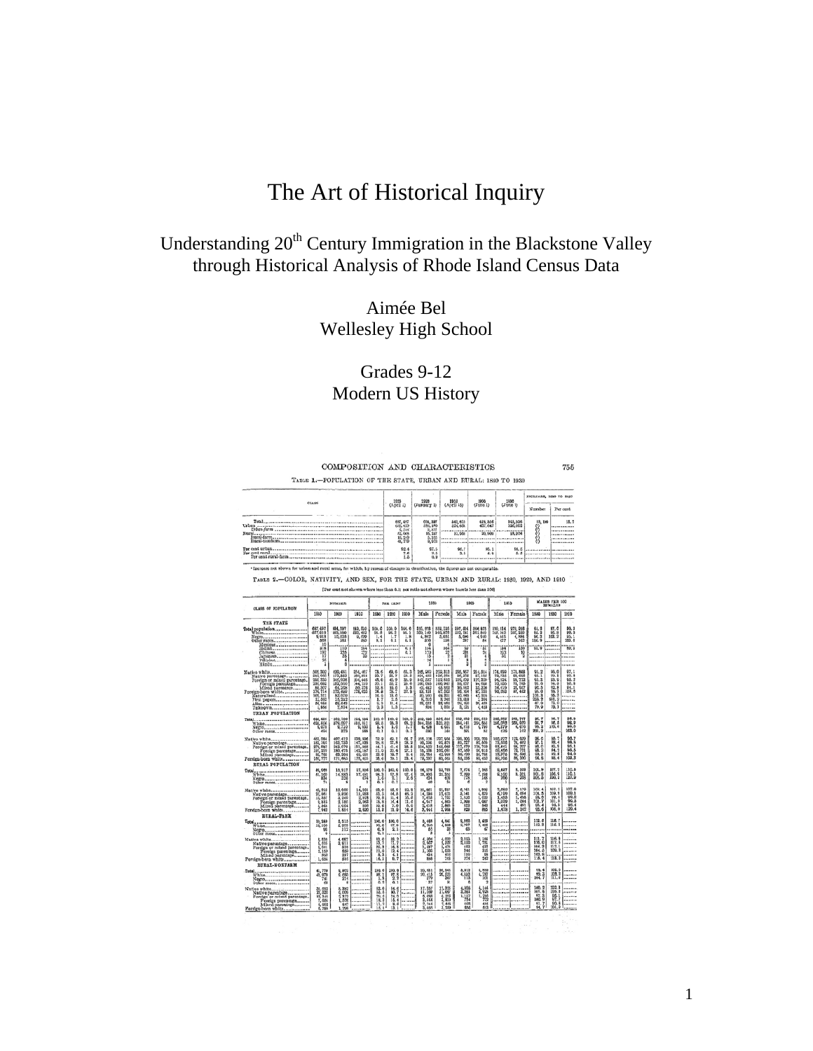# The Art of Historical Inquiry

## Understanding 20<sup>th</sup> Century Immigration in the Blackstone Valley through Historical Analysis of Rhode Island Census Data

Aimée Bel Wellesley High School

## Grades 9-12 Modern US History

|                                                                                                                                                                                                                               |                                                                             |                                                                                          | COMPOSITION AND CHARACTERISTICS                                                           |                                                      |                                                                              |                                                       |                                                                                                         |                                                                                        |                                                                                              |                                                                                                  |                                                           |                                                      |                                                        |                                                                          | 755                                                           |  |
|-------------------------------------------------------------------------------------------------------------------------------------------------------------------------------------------------------------------------------|-----------------------------------------------------------------------------|------------------------------------------------------------------------------------------|-------------------------------------------------------------------------------------------|------------------------------------------------------|------------------------------------------------------------------------------|-------------------------------------------------------|---------------------------------------------------------------------------------------------------------|----------------------------------------------------------------------------------------|----------------------------------------------------------------------------------------------|--------------------------------------------------------------------------------------------------|-----------------------------------------------------------|------------------------------------------------------|--------------------------------------------------------|--------------------------------------------------------------------------|---------------------------------------------------------------|--|
| TABLE 1 .- POPULATION OF THE STATE, URBAN AND RURAL: 1880 TO 1930                                                                                                                                                             |                                                                             |                                                                                          |                                                                                           |                                                      |                                                                              |                                                       |                                                                                                         |                                                                                        |                                                                                              |                                                                                                  |                                                           |                                                      | INCRFASE, 1920 TO 1920                                 |                                                                          |                                                               |  |
| C1.1.98                                                                                                                                                                                                                       |                                                                             |                                                                                          |                                                                                           |                                                      | 1035<br>(April 1)                                                            |                                                       | 1920<br>(January 1)                                                                                     |                                                                                        | 1950<br>1900<br>(Time 1)<br>(April 15)                                                       |                                                                                                  | 1930<br>(Imne 1)                                          |                                                      | Number                                                 |                                                                          | Per ount                                                      |  |
| Total.<br>Urban<br>Burn)<br>1980 (1891)<br>1980 (1891)<br>Per cent urban.<br>Per cent rural.<br>Per cent rural dara conservation conservation conservations of the cent rural.                                                |                                                                             |                                                                                          |                                                                                           |                                                      | 687.497<br>635, 429<br>6.788<br>15, 2-9<br>41, 779<br>92.4<br>$^{7.6}_{1.5}$ |                                                       | 091, 397<br>199, 180<br>$\frac{0}{16}$ $\frac{327}{247}$<br>5.315<br>9,903                              |                                                                                        | 542,610<br>524, 654<br>32,566<br><b></b>                                                     | 425, 556<br>407, 647<br>20, 500<br><b>BOROK-UR-RD</b>                                            | 345, 108<br>320, 002<br>18,004<br><br>                    |                                                      | 88, 100<br>33933                                       |                                                                          | 15.5<br><br><br>                                              |  |
|                                                                                                                                                                                                                               |                                                                             |                                                                                          |                                                                                           |                                                      |                                                                              |                                                       | 67.5<br>$^{2.5}_{0.9}$                                                                                  |                                                                                        | 96.7<br><b>95.1</b><br>2.3<br>4.9                                                            |                                                                                                  | 94.5<br>5.5                                               |                                                      |                                                        |                                                                          |                                                               |  |
| I Increase not shown for urban and rural areas, for which, by reason of changes in classification, the figures are not comparable.<br>TABLE 2.-COLOR, NATIVITY, AND SEX, FOR THE STATE, URBAN AND RURAL: 1930, 1920, AND 1910 |                                                                             |                                                                                          | [Per cout not shown where less than 0.1; sex ratis not shown where base is less than 100] |                                                      |                                                                              |                                                       |                                                                                                         |                                                                                        |                                                                                              |                                                                                                  |                                                           |                                                      |                                                        |                                                                          |                                                               |  |
| <b>CLASS OF POPULATION</b>                                                                                                                                                                                                    | <b>NUMBER</b>                                                               |                                                                                          |                                                                                           | <b>FER CRNT</b>                                      |                                                                              |                                                       | 1055                                                                                                    |                                                                                        | 1955                                                                                         |                                                                                                  | 1955                                                      |                                                      | <b>MALES FER 100</b><br><b>FEMALES</b>                 |                                                                          |                                                               |  |
|                                                                                                                                                                                                                               | 1880                                                                        | 1923                                                                                     | 1910                                                                                      | 1930                                                 | 1200                                                                         | 1950                                                  | Male                                                                                                    | Fernale                                                                                | Male                                                                                         | Famale                                                                                           | Male                                                      | Femalo                                               | 1980                                                   | 1920                                                                     | 1910                                                          |  |
| THE STATE                                                                                                                                                                                                                     | 解,解<br>9, 913<br>10                                                         | 004, 207<br>003, 1030<br>10,038                                                          | 582, 610<br>0,620<br>860                                                                  | $\frac{100.6}{38.6}$<br>$\frac{1}{6}$<br>$\cdots$    | 빲<br>ŀ,<br>                                                                  | $\frac{100.6}{10.1}$<br>$\frac{1}{6}$ $\frac{8}{1}$   | 115. 178<br>330. 140<br>$4,862$<br>$370$                                                                | 852, 125<br>340, 878<br>5, 05<br>158                                                   | 297.4%<br>5,095                                                                              | 364, 823<br>301, 849<br>4,940<br>£4                                                              | 110, 114<br>4, 645                                        | 毀勝<br>4,884                                          | 64.2<br>65.2<br>156.9                                  | $\frac{97.0}{39.2}$<br>                                                  | 66<br>55.<br>織                                                |  |
| Hindu                                                                                                                                                                                                                         | 3:8<br>190<br>17<br>1                                                       | 49<br>퐉<br>ō                                                                             | 縱<br>                                                                                     | 11111<br><br>                                        | $-111$<br>                                                                   | äï<br>äi<br>1878<br>                                  | 腊<br>īš<br>й<br>1                                                                                       | 쪎<br>ŧ<br>ĩ<br>--------                                                                | 60<br>Ń<br>į                                                                                 | 芸<br>$\frac{4}{3}$                                                                               | 譾<br>31<br>                                               | ìši<br>19<br>                                        | ia a<br>$\cdots$<br>                                   |                                                                          | W.                                                            |  |
| Alian<br>Unknown                                                                                                                                                                                                              | 505, 302<br>甀<br>295<br>297, 682<br>SK, 307<br>170, 714<br>10, 311<br>1,856 | 1993, 481<br>245, 928<br>182, 660<br>06, 208<br>173, 690<br>16, 212<br>58, 642<br>7, 594 | 854, 407<br>169, 891<br>194, 646<br>144, 270<br>50, 376<br>178, 035<br><br><br>           | 恐<br>a.e.<br>30.1<br>12.5<br>24.8<br>$\frac{118}{8}$ | 盤<br>483820<br>落<br>$\frac{28}{11.3}$                                        | 感音<br>35.6<br>0.3<br>32.8<br><br><b>SANDA</b>         | 265, 989<br>104, 462<br>142, 597<br>100,095<br>42, 442<br>\$3,151<br><b>80, 900</b><br>R, 310<br>R, 000 | 259, 818<br>152, \$12<br>105, 947<br>65, 855<br>67, 563<br>49, 351<br>3,245<br>33, 955 | 205, 567<br>86, 378<br>119, 559<br>89, 507<br>89, 942<br>55, 164<br>10, 045<br>13, 818<br>等題 | $\frac{214}{87}$ , 514<br>127, 329<br>$\frac{94,003}{22,209}$<br>87, 335<br>42,005<br>$^{20.45}$ | 隆麗<br>P4 524<br>50, 553<br>$-0.0000$<br><b>STATISTICS</b> | 173, 808<br>第78<br>-------                           | 怒<br>協調品<br>$\frac{103.3}{26.2}$                       | 98.0<br>99.1<br>3.5%保医病因1次,1933年7月21日                                    | 97.<br>99.1<br>68.<br>şö,<br>94.1<br>103.<br>$\cdots$<br><br> |  |
| UEBAN POPULATION<br>Total                                                                                                                                                                                                     | 638, 420<br>625, 526<br>9, 079<br>404                                       | 169, 160<br>179, 007<br>9, 710<br>973                                                    | 254, 654<br>9, 033                                                                        | 100.0<br>$\frac{a}{a}$                               | 100.0<br>96.3<br>$\frac{1}{\alpha}$                                          | 100, 0<br>$\frac{68.5}{6.1}$                          | 350, 093<br>304, 338<br>4, 428                                                                          | 526, 218<br>321, 821<br>$4,051$<br>$166$                                               | 210, 650<br>284, 441<br>4.918                                                                | 998, 510<br>204, 666<br>1,792<br>w                                                               | 260, 857<br>264, 0R2<br>4.372                             | 265, 767<br>258, 829<br>4, 676<br>162                | <b>PA.7</b><br>95.2<br>201.2                           | 300.8                                                                    | 陈佩纹                                                           |  |
| Native white<br>Netty parameters<br>Native parentage<br>Pereign or mixed parameters<br>Pereign parentage<br>Pereign born white<br>Pereign born white                                                                          | 653, 084<br>182, 102<br>職部                                                  | 407, 413<br>103, 723<br>243, 079<br>180, 475<br>$\frac{63}{171}$ , 055                   | 239, 604<br>147,939<br>191, 668<br>142, 187<br>49, 681<br>178, 605                        | 72.9<br>器<br>賞1                                      | 69.1<br>27.8<br>$\frac{41.4}{30.6}$<br>Str. 1                                | 64.7<br>28. 2<br>$\frac{36.5}{27.1}$<br>$^{84}_{-11}$ | 235, 128<br>20, 206<br>134, 1022<br>53, 136<br>53, 764<br>79, 207                                       | 237,956<br>02, 875<br>145, 050<br>102, 051<br>42,969                                   | 190, 200<br>81, 227<br>117, 979<br>87, 889<br>36,459<br>55, 235                              | 208, 200<br>108, 300<br>108, 910<br>80, 910<br>80, 910<br>80, 400                                | 145, 977<br>13, 638<br>63, 445<br>13, 978<br>19, 106      | 173, 629<br>76, 402<br>73, 721<br>25, 506            | 04.0<br>02.1<br>15.25<br>02.5                          | 98. T<br>熙4<br>$\frac{91.2}{92.8}$<br>SS. 6                              | 机纵纵风机<br>108.                                                 |  |
| RURAL POPULATION<br>Total White                                                                                                                                                                                               | 80,008<br>61, 100<br>74                                                     | 15, 217<br>14, 883                                                                       | 17, 356<br>17, 481                                                                        | 100.0<br>$^{98.3}_{1.6}$<br>öίī                      | 100.0<br>97.8<br>$rac{2}{0.1}$                                               | 100.0<br>$\frac{97.6}{2.6}$<br>11111                  | 26, 278<br>25, 505<br>431<br>46                                                                         | 25,789<br>$\frac{25}{400}$<br>34                                                       | 7,874<br>$7,000$<br>$178$<br>è                                                               | 7, 565<br>$^{7,108}_{168}$<br>9                                                                  | 8,427<br>9,100                                            | 8,549<br>8,321<br>208                                | $\begin{array}{r} 101.9 \\ 101.8 \\ 108.5 \end{array}$ | 107.2<br>106.9                                                           | $\frac{110}{110}$                                             |  |
| Native white                                                                                                                                                                                                                  | <b>仏215</b><br>拓城387<br>毛388<br>$\frac{5}{7}$ M4                            | 13,060<br>の 神話の ストラン<br>1, 654<br>1, 814                                                 | 14,563<br>11,71,578<br>2,72,565                                                           | 級品系<br>$^{10.6}_{15.8}$                              | 88.9<br>04.04<br>04.4<br>3.0                                                 | 82.8<br>盛る<br>11.6<br>14.8                            | 21, 861<br>14, 2005<br>7, 615<br>4, 911<br>2,018<br>3,911                                               | 20,425<br>15,425<br>4,466<br>2,466                                                     | 6, 761<br>5, 141<br>1, 630<br>1, 068<br>商                                                    | 0,306<br>4,520<br>1,007<br>812<br>813                                                            | 7, 682<br>6, 199<br>1, 453<br>1, 444<br>444<br>1, 478     | 7, 179<br>5, 084<br>1, 095<br>1, 044<br>451<br>1,142 | 102.4<br>18日28年<br>68,6                                | 169.9<br>500.9<br>$30.5$<br>$30.5$<br>105.0                              | 107<br>100<br>š.<br>$\frac{98}{128}$                          |  |
| <b>EUEAL-PARM</b><br>$T_{\text{old}}$ white                                                                                                                                                                                   | 10, 189<br>10, 190<br>ē                                                     | 5, 515<br>$\frac{253}{112}$<br>                                                          |                                                                                           | 100.0                                                | 100.0<br>$^{97.9}_{2.1}$                                                     | $-111$<br>11222<br>                                   | あ 458<br>よ 250<br>٦                                                                                     | 2.841<br>制<br>٦                                                                        | 3. 888<br>2. 797<br><b>US</b>                                                                | 2,458<br>2,400                                                                                   | *****                                                     |                                                      | 112.0<br>112.3<br>                                     | 118.3                                                                    |                                                               |  |
| Native white                                                                                                                                                                                                                  | 8, 836<br>8, 655<br>8, 011<br>2, 159<br>863<br>1,654                        | 4,687<br>4 割陽<br>217<br>516                                                              | <br><br>                                                                                  | \$3.0<br>茲テ<br>第1章                                   | <b>88.2</b><br>10.15 & 4<br>6.17<br>6.7                                      | .<br><br><br>شمعت<br>                                 | 4, 504<br>2, 507<br>1, 507<br>1, 100<br>GI.<br>Rid                                                      | 4,032<br>2,558<br>1,474<br>1,055<br>턣                                                  | 218<br>183<br>110                                                                            | $\frac{2}{1} \frac{164}{781}$<br>$rac{11}{315}$<br>w<br>50                                       |                                                           |                                                      | 111.7<br>116.0<br>104.4<br>103.8                       | $\begin{array}{c} 116.9 \\ 117.6 \\ 112.1 \end{array}$<br>102.2<br>118.2 |                                                               |  |
| RUBAL-NONFARM<br>Total<br>$W = 0$                                                                                                                                                                                             | $\frac{41}{45} \frac{779}{970}$<br>741<br>o                                 | 8,853<br>214<br>×                                                                        |                                                                                           | 100.0<br>98.1<br>L\$                                 | $\begin{array}{c} 100.0 \\ 07.8 \\ 2.2 \\ 0.1 \end{array}$                   | $-0.000$<br>                                          | 20, 631<br>20, 415<br>279<br>'äī                                                                        | 80, 048<br>20, 555<br>362<br>81                                                        | 5,012<br>4.148<br>a                                                                          | 4,890<br>4.787<br>ä                                                                              |                                                           |                                                      | $\frac{93.4}{20.7}$                                    | 體                                                                        |                                                               |  |
|                                                                                                                                                                                                                               | 34,692<br>22,326<br>$\frac{4}{6}$ %%                                        | 8,382<br>$\frac{6,000}{2,373}$<br>1,500<br>847<br>1.298                                  | <br>                                                                                      | 83.0<br>44.4<br>29.6<br>18.3<br>11, 2<br>١ĸ<br>٠     | <b>S4.6</b><br>00. 7<br>24. 0<br>15.6<br>$\frac{8.6}{13.1}$                  | ******<br><br>*****                                   | 17, 357<br>11, 202<br>5, 058<br>9, 844<br>2<br>.244<br>3.045                                            | 325<br>$\frac{11,007}{6,208}$<br>$\frac{208}{3,810}$<br>ä<br>530                       | 4.2001<br>3.001<br>4.157<br>754<br>403<br>555                                                | 4,144<br>2,925<br>772<br>444<br>613                                                              |                                                           | --------                                             | 100.2<br>$\frac{101.8}{97.8}$<br>$\frac{100.9}{91.7}$  | 102.3<br>0.877                                                           |                                                               |  |

1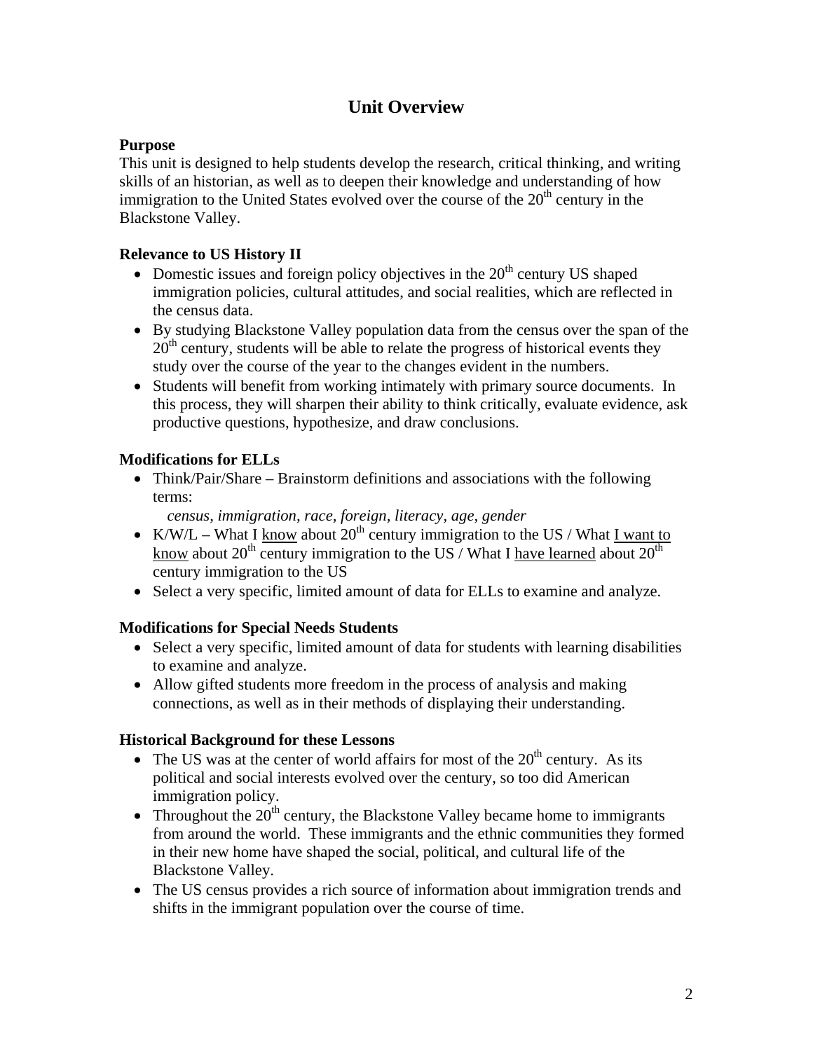## **Unit Overview**

### **Purpose**

This unit is designed to help students develop the research, critical thinking, and writing skills of an historian, as well as to deepen their knowledge and understanding of how immigration to the United States evolved over the course of the  $20<sup>th</sup>$  century in the Blackstone Valley.

### **Relevance to US History II**

- Domestic issues and foreign policy objectives in the  $20<sup>th</sup>$  century US shaped immigration policies, cultural attitudes, and social realities, which are reflected in the census data.
- By studying Blackstone Valley population data from the census over the span of the  $20<sup>th</sup>$  century, students will be able to relate the progress of historical events they study over the course of the year to the changes evident in the numbers.
- Students will benefit from working intimately with primary source documents. In this process, they will sharpen their ability to think critically, evaluate evidence, ask productive questions, hypothesize, and draw conclusions.

### **Modifications for ELLs**

 Think/Pair/Share – Brainstorm definitions and associations with the following terms:

*census, immigration, race, foreign, literacy, age, gender* 

- K/W/L What I know about  $20^{th}$  century immigration to the US / What I want to know about 20<sup>th</sup> century immigration to the US / What I have learned about  $20<sup>th</sup>$ century immigration to the US
- Select a very specific, limited amount of data for ELLs to examine and analyze.

### **Modifications for Special Needs Students**

- Select a very specific, limited amount of data for students with learning disabilities to examine and analyze.
- Allow gifted students more freedom in the process of analysis and making connections, as well as in their methods of displaying their understanding.

### **Historical Background for these Lessons**

- The US was at the center of world affairs for most of the  $20<sup>th</sup>$  century. As its political and social interests evolved over the century, so too did American immigration policy.
- Throughout the  $20<sup>th</sup>$  century, the Blackstone Valley became home to immigrants from around the world. These immigrants and the ethnic communities they formed in their new home have shaped the social, political, and cultural life of the Blackstone Valley.
- The US census provides a rich source of information about immigration trends and shifts in the immigrant population over the course of time.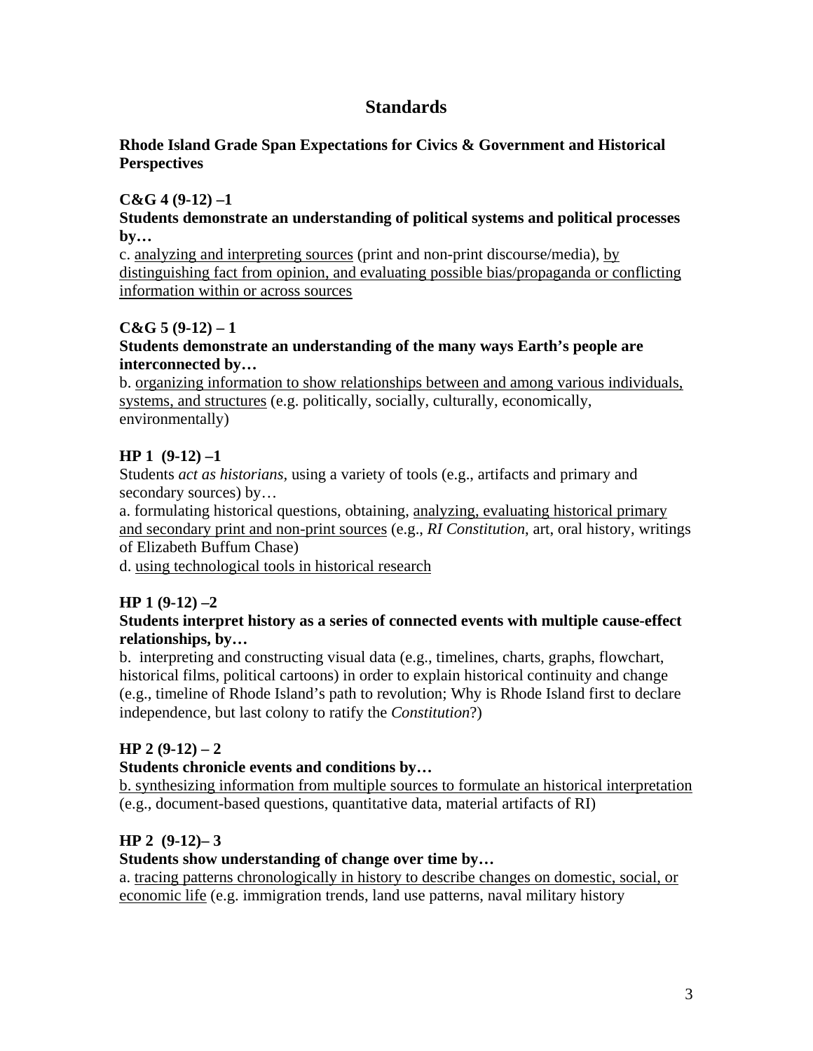## **Standards**

### **Rhode Island Grade Span Expectations for Civics & Government and Historical Perspectives**

### **C&G 4 (9-12) –1**

#### **Students demonstrate an understanding of political systems and political processes by…**

c. analyzing and interpreting sources (print and non-print discourse/media), by distinguishing fact from opinion, and evaluating possible bias/propaganda or conflicting information within or across sources

### **C&G 5 (9-12) – 1**

### **Students demonstrate an understanding of the many ways Earth's people are interconnected by…**

b. organizing information to show relationships between and among various individuals, systems, and structures (e.g. politically, socially, culturally, economically, environmentally)

### **HP 1 (9-12) –1**

Students *act as historians,* using a variety of tools (e.g., artifacts and primary and secondary sources) by...

a. formulating historical questions, obtaining, analyzing, evaluating historical primary and secondary print and non-print sources (e.g., *RI Constitution*, art, oral history, writings of Elizabeth Buffum Chase)

d. using technological tools in historical research

### **HP 1 (9-12) –2**

### **Students interpret history as a series of connected events with multiple cause-effect relationships, by…**

b. interpreting and constructing visual data (e.g., timelines, charts, graphs, flowchart, historical films, political cartoons) in order to explain historical continuity and change (e.g., timeline of Rhode Island's path to revolution; Why is Rhode Island first to declare independence, but last colony to ratify the *Constitution*?)

### **HP 2 (9-12) – 2**

### **Students chronicle events and conditions by…**

b. synthesizing information from multiple sources to formulate an historical interpretation (e.g., document-based questions, quantitative data, material artifacts of RI)

### **HP 2 (9-12)– 3**

### **Students show understanding of change over time by…**

a. tracing patterns chronologically in history to describe changes on domestic, social, or economic life (e.g. immigration trends, land use patterns, naval military history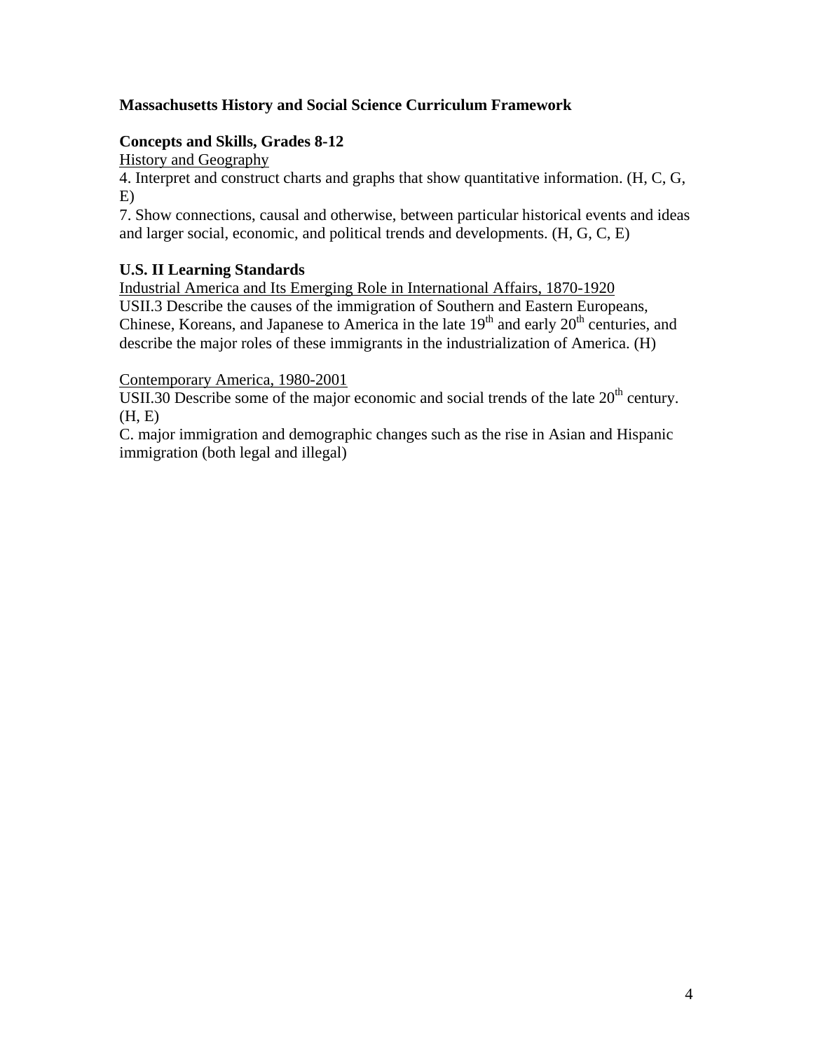### **Massachusetts History and Social Science Curriculum Framework**

### **Concepts and Skills, Grades 8-12**

History and Geography

4. Interpret and construct charts and graphs that show quantitative information. (H, C, G, E)

7. Show connections, causal and otherwise, between particular historical events and ideas and larger social, economic, and political trends and developments. (H, G, C, E)

### **U.S. II Learning Standards**

Industrial America and Its Emerging Role in International Affairs, 1870-1920 USII.3 Describe the causes of the immigration of Southern and Eastern Europeans, Chinese, Koreans, and Japanese to America in the late  $19<sup>th</sup>$  and early  $20<sup>th</sup>$  centuries, and describe the major roles of these immigrants in the industrialization of America. (H)

### Contemporary America, 1980-2001

USII.30 Describe some of the major economic and social trends of the late  $20<sup>th</sup>$  century. (H, E)

C. major immigration and demographic changes such as the rise in Asian and Hispanic immigration (both legal and illegal)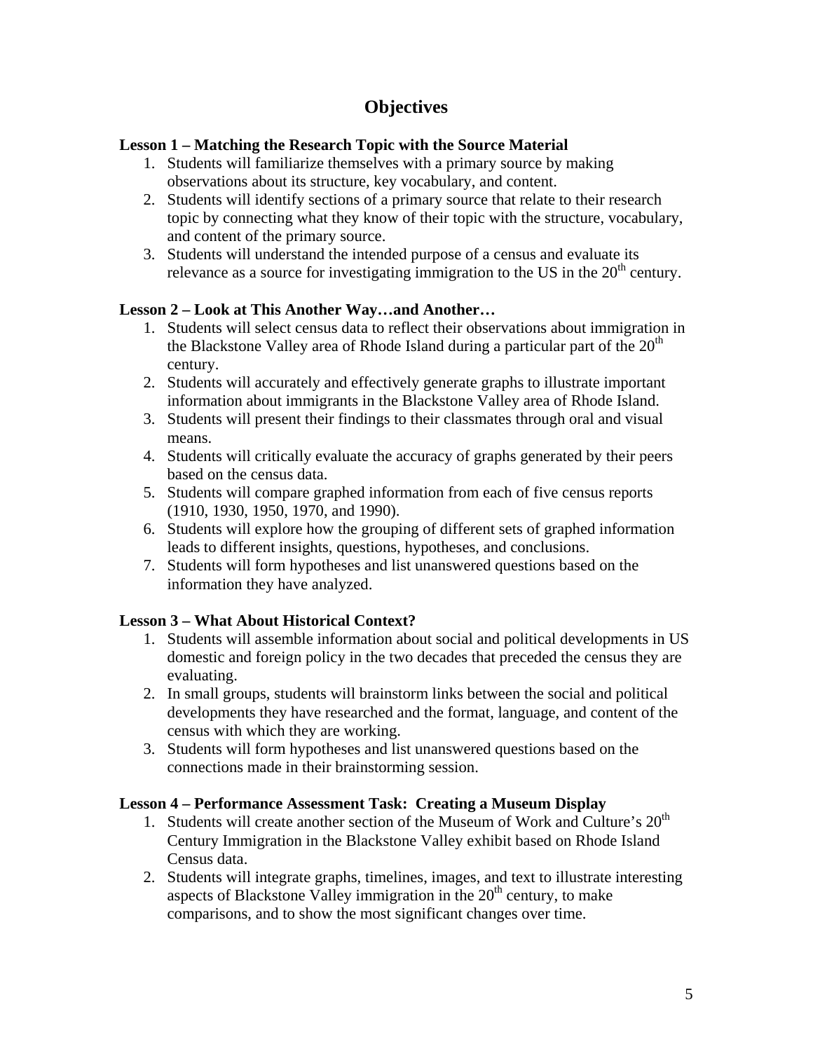## **Objectives**

### **Lesson 1 – Matching the Research Topic with the Source Material**

- 1. Students will familiarize themselves with a primary source by making observations about its structure, key vocabulary, and content.
- 2. Students will identify sections of a primary source that relate to their research topic by connecting what they know of their topic with the structure, vocabulary, and content of the primary source.
- 3. Students will understand the intended purpose of a census and evaluate its relevance as a source for investigating immigration to the US in the  $20<sup>th</sup>$  century.

### **Lesson 2 – Look at This Another Way…and Another…**

- 1. Students will select census data to reflect their observations about immigration in the Blackstone Valley area of Rhode Island during a particular part of the  $20<sup>th</sup>$ century.
- 2. Students will accurately and effectively generate graphs to illustrate important information about immigrants in the Blackstone Valley area of Rhode Island.
- 3. Students will present their findings to their classmates through oral and visual means.
- 4. Students will critically evaluate the accuracy of graphs generated by their peers based on the census data.
- 5. Students will compare graphed information from each of five census reports (1910, 1930, 1950, 1970, and 1990).
- 6. Students will explore how the grouping of different sets of graphed information leads to different insights, questions, hypotheses, and conclusions.
- 7. Students will form hypotheses and list unanswered questions based on the information they have analyzed.

### **Lesson 3 – What About Historical Context?**

- 1. Students will assemble information about social and political developments in US domestic and foreign policy in the two decades that preceded the census they are evaluating.
- 2. In small groups, students will brainstorm links between the social and political developments they have researched and the format, language, and content of the census with which they are working.
- 3. Students will form hypotheses and list unanswered questions based on the connections made in their brainstorming session.

#### **Lesson 4 – Performance Assessment Task: Creating a Museum Display**

- 1. Students will create another section of the Museum of Work and Culture's  $20<sup>th</sup>$ Century Immigration in the Blackstone Valley exhibit based on Rhode Island Census data.
- 2. Students will integrate graphs, timelines, images, and text to illustrate interesting aspects of Blackstone Valley immigration in the  $20<sup>th</sup>$  century, to make comparisons, and to show the most significant changes over time.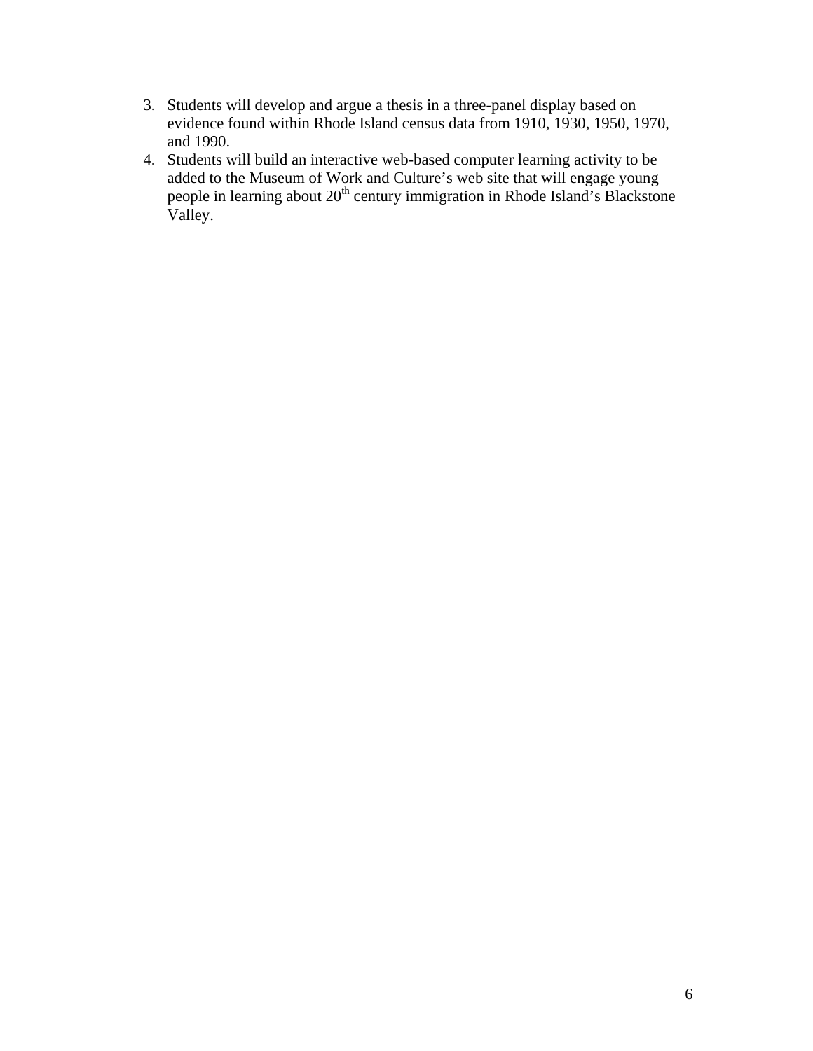- 3. Students will develop and argue a thesis in a three-panel display based on evidence found within Rhode Island census data from 1910, 1930, 1950, 1970, and 1990.
- 4. Students will build an interactive web-based computer learning activity to be added to the Museum of Work and Culture's web site that will engage young people in learning about  $20<sup>th</sup>$  century immigration in Rhode Island's Blackstone Valley.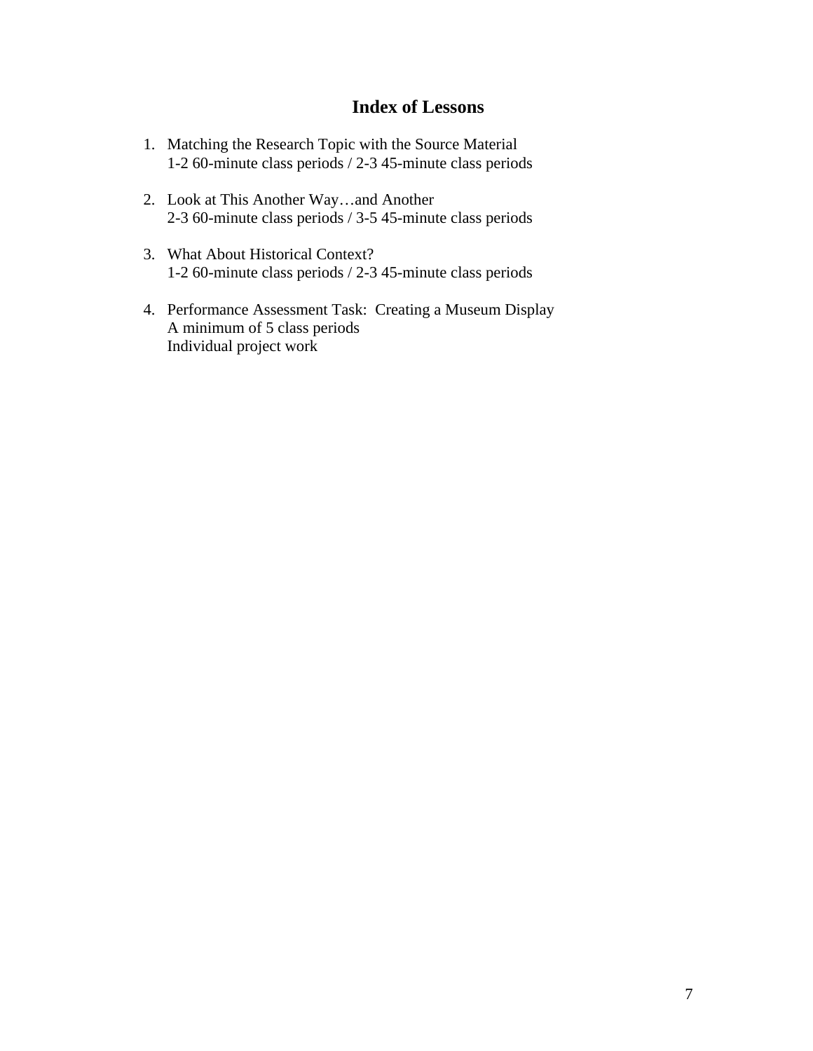## **Index of Lessons**

- 1. Matching the Research Topic with the Source Material 1-2 60-minute class periods / 2-3 45-minute class periods
- 2. Look at This Another Way…and Another 2-3 60-minute class periods / 3-5 45-minute class periods
- 3. What About Historical Context? 1-2 60-minute class periods / 2-3 45-minute class periods
- 4. Performance Assessment Task: Creating a Museum Display A minimum of 5 class periods Individual project work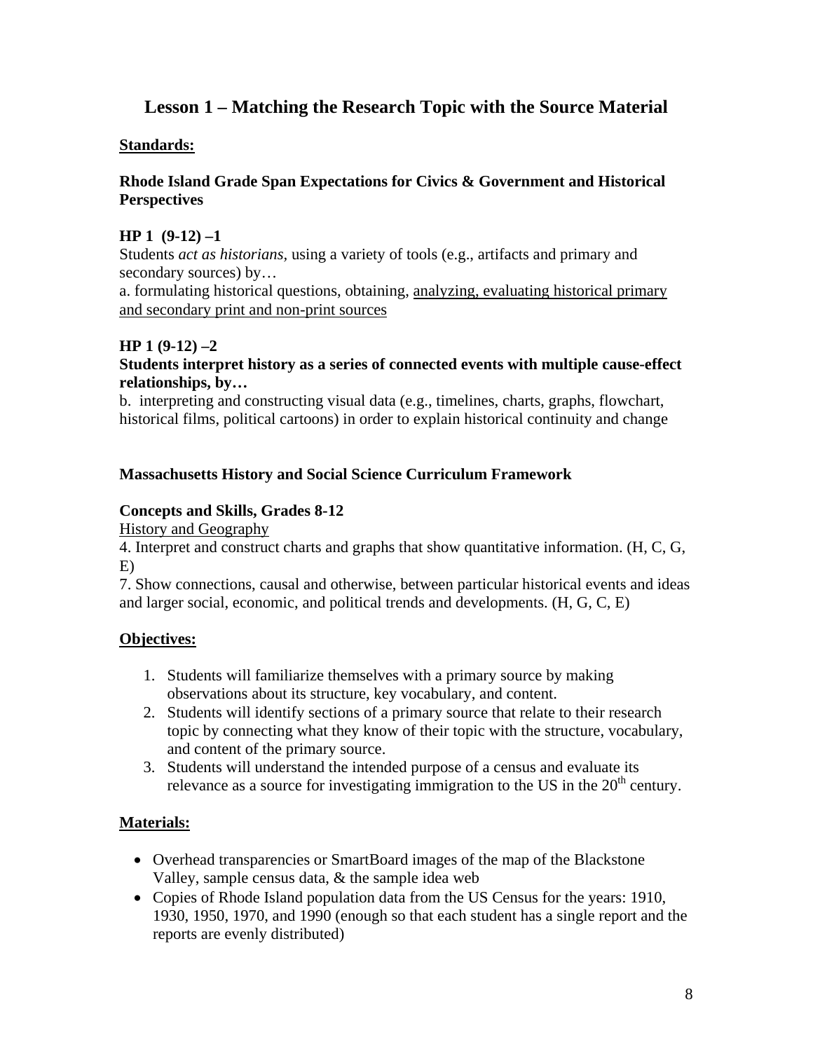## **Lesson 1 – Matching the Research Topic with the Source Material**

### **Standards:**

### **Rhode Island Grade Span Expectations for Civics & Government and Historical Perspectives**

### **HP 1 (9-12) –1**

Students *act as historians,* using a variety of tools (e.g., artifacts and primary and secondary sources) by...

a. formulating historical questions, obtaining, analyzing, evaluating historical primary and secondary print and non-print sources

### **HP 1 (9-12) –2**

#### **Students interpret history as a series of connected events with multiple cause-effect relationships, by…**

b. interpreting and constructing visual data (e.g., timelines, charts, graphs, flowchart, historical films, political cartoons) in order to explain historical continuity and change

### **Massachusetts History and Social Science Curriculum Framework**

### **Concepts and Skills, Grades 8-12**

History and Geography

4. Interpret and construct charts and graphs that show quantitative information. (H, C, G, E)

7. Show connections, causal and otherwise, between particular historical events and ideas and larger social, economic, and political trends and developments. (H, G, C, E)

### **Objectives:**

- 1. Students will familiarize themselves with a primary source by making observations about its structure, key vocabulary, and content.
- 2. Students will identify sections of a primary source that relate to their research topic by connecting what they know of their topic with the structure, vocabulary, and content of the primary source.
- 3. Students will understand the intended purpose of a census and evaluate its relevance as a source for investigating immigration to the US in the  $20<sup>th</sup>$  century.

### **Materials:**

- Overhead transparencies or SmartBoard images of the map of the Blackstone Valley, sample census data, & the sample idea web
- Copies of Rhode Island population data from the US Census for the years: 1910, 1930, 1950, 1970, and 1990 (enough so that each student has a single report and the reports are evenly distributed)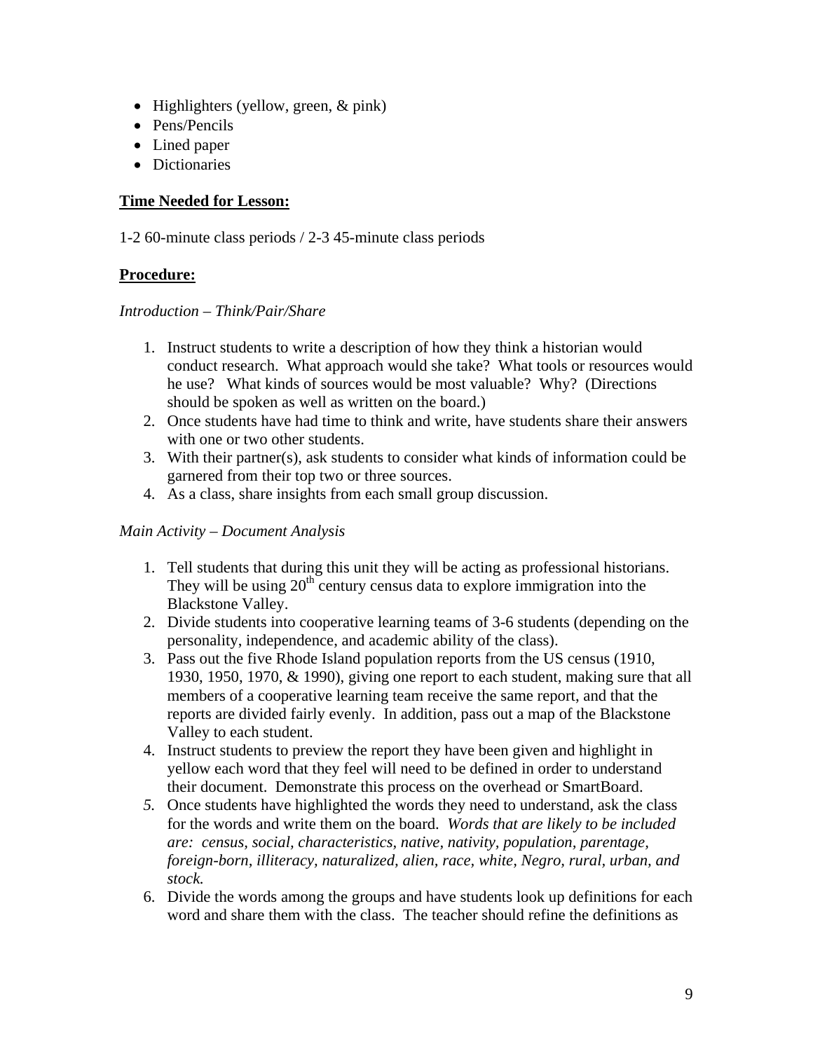- Highlighters (yellow, green,  $&$  pink)
- Pens/Pencils
- Lined paper
- Dictionaries

### **Time Needed for Lesson:**

1-2 60-minute class periods / 2-3 45-minute class periods

### **Procedure:**

### *Introduction – Think/Pair/Share*

- 1. Instruct students to write a description of how they think a historian would conduct research. What approach would she take? What tools or resources would he use? What kinds of sources would be most valuable? Why? (Directions should be spoken as well as written on the board.)
- 2. Once students have had time to think and write, have students share their answers with one or two other students.
- 3. With their partner(s), ask students to consider what kinds of information could be garnered from their top two or three sources.
- 4. As a class, share insights from each small group discussion.

### *Main Activity – Document Analysis*

- 1. Tell students that during this unit they will be acting as professional historians. They will be using  $20<sup>th</sup>$  century census data to explore immigration into the Blackstone Valley.
- 2. Divide students into cooperative learning teams of 3-6 students (depending on the personality, independence, and academic ability of the class).
- 3. Pass out the five Rhode Island population reports from the US census (1910, 1930, 1950, 1970, & 1990), giving one report to each student, making sure that all members of a cooperative learning team receive the same report, and that the reports are divided fairly evenly. In addition, pass out a map of the Blackstone Valley to each student.
- 4. Instruct students to preview the report they have been given and highlight in yellow each word that they feel will need to be defined in order to understand their document. Demonstrate this process on the overhead or SmartBoard.
- *5.* Once students have highlighted the words they need to understand, ask the class for the words and write them on the board. *Words that are likely to be included are: census, social, characteristics, native, nativity, population, parentage, foreign-born, illiteracy, naturalized, alien, race, white, Negro, rural, urban, and stock.*
- 6. Divide the words among the groups and have students look up definitions for each word and share them with the class. The teacher should refine the definitions as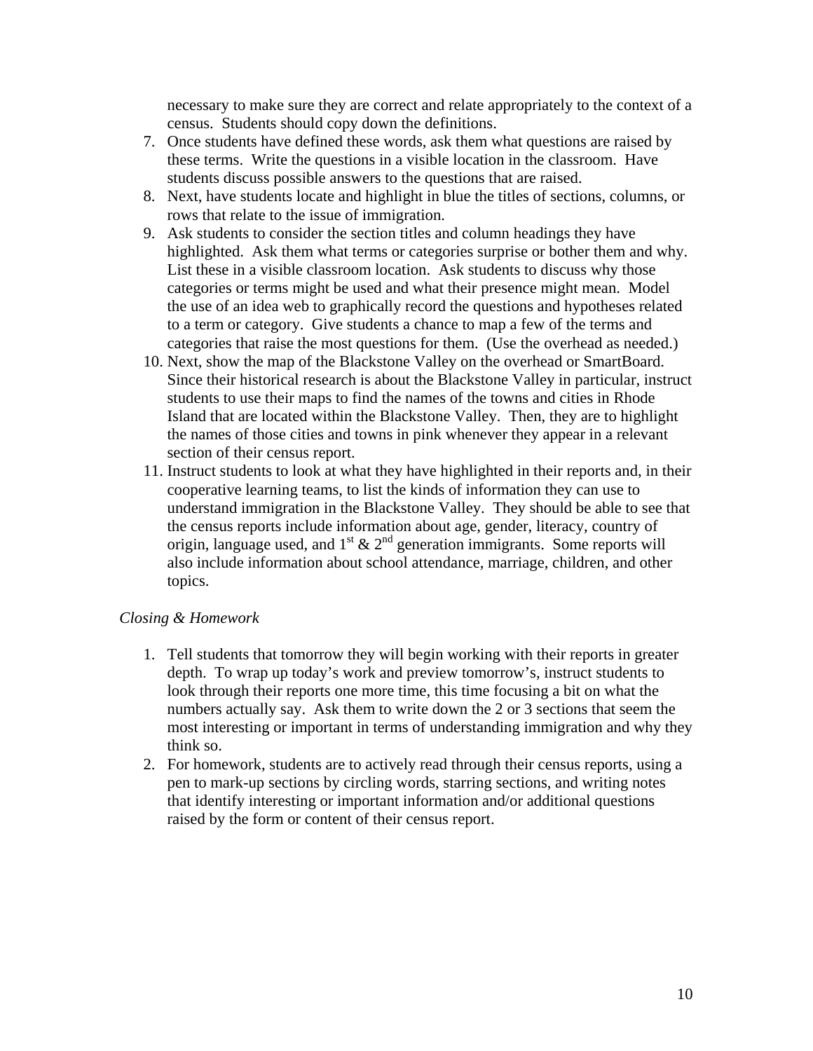necessary to make sure they are correct and relate appropriately to the context of a census. Students should copy down the definitions.

- 7. Once students have defined these words, ask them what questions are raised by these terms. Write the questions in a visible location in the classroom. Have students discuss possible answers to the questions that are raised.
- 8. Next, have students locate and highlight in blue the titles of sections, columns, or rows that relate to the issue of immigration.
- 9. Ask students to consider the section titles and column headings they have highlighted. Ask them what terms or categories surprise or bother them and why. List these in a visible classroom location. Ask students to discuss why those categories or terms might be used and what their presence might mean. Model the use of an idea web to graphically record the questions and hypotheses related to a term or category. Give students a chance to map a few of the terms and categories that raise the most questions for them. (Use the overhead as needed.)
- 10. Next, show the map of the Blackstone Valley on the overhead or SmartBoard. Since their historical research is about the Blackstone Valley in particular, instruct students to use their maps to find the names of the towns and cities in Rhode Island that are located within the Blackstone Valley. Then, they are to highlight the names of those cities and towns in pink whenever they appear in a relevant section of their census report.
- 11. Instruct students to look at what they have highlighted in their reports and, in their cooperative learning teams, to list the kinds of information they can use to understand immigration in the Blackstone Valley. They should be able to see that the census reports include information about age, gender, literacy, country of origin, language used, and  $1^{st}$  &  $2^{nd}$  generation immigrants. Some reports will also include information about school attendance, marriage, children, and other topics.

#### *Closing & Homework*

- 1. Tell students that tomorrow they will begin working with their reports in greater depth. To wrap up today's work and preview tomorrow's, instruct students to look through their reports one more time, this time focusing a bit on what the numbers actually say. Ask them to write down the 2 or 3 sections that seem the most interesting or important in terms of understanding immigration and why they think so.
- 2. For homework, students are to actively read through their census reports, using a pen to mark-up sections by circling words, starring sections, and writing notes that identify interesting or important information and/or additional questions raised by the form or content of their census report.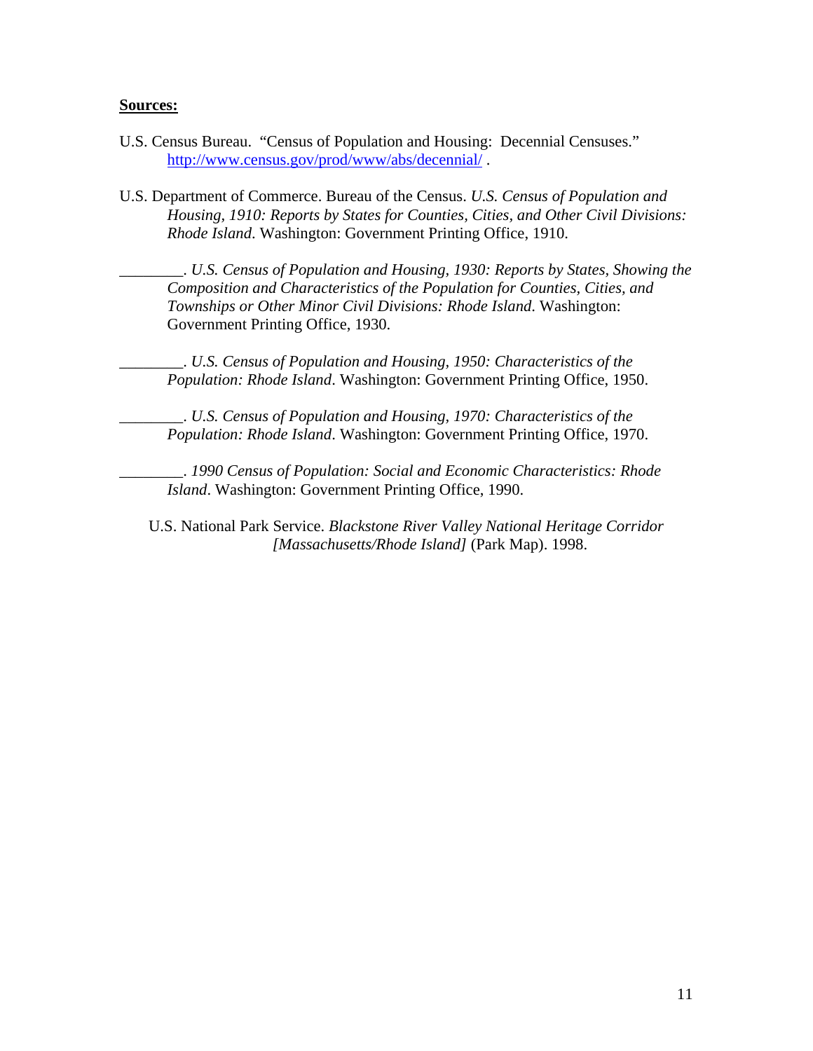#### **Sources:**

- U.S. Census Bureau. "Census of Population and Housing: Decennial Censuses." http://www.census.gov/prod/www/abs/decennial/ .
- U.S. Department of Commerce. Bureau of the Census. *U.S. Census of Population and Housing, 1910: Reports by States for Counties, Cities, and Other Civil Divisions: Rhode Island*. Washington: Government Printing Office, 1910.

\_\_\_\_\_\_\_\_. *U.S. Census of Population and Housing, 1930: Reports by States, Showing the Composition and Characteristics of the Population for Counties, Cities, and Townships or Other Minor Civil Divisions: Rhode Island*. Washington: Government Printing Office, 1930.

\_\_\_\_\_\_\_\_. *U.S. Census of Population and Housing, 1950: Characteristics of the Population: Rhode Island*. Washington: Government Printing Office, 1950.

\_\_\_\_\_\_\_\_. *U.S. Census of Population and Housing, 1970: Characteristics of the Population: Rhode Island*. Washington: Government Printing Office, 1970.

\_\_\_\_\_\_\_\_. *1990 Census of Population: Social and Economic Characteristics: Rhode Island*. Washington: Government Printing Office, 1990.

U.S. National Park Service. *Blackstone River Valley National Heritage Corridor [Massachusetts/Rhode Island]* (Park Map). 1998.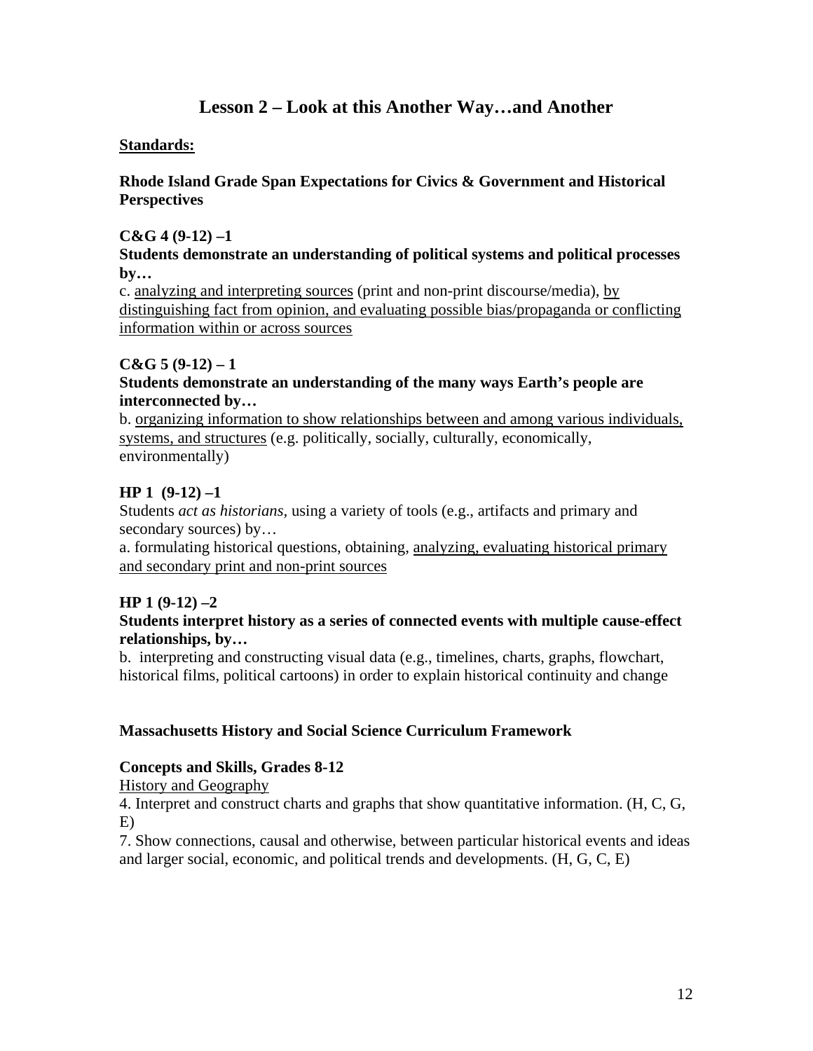## **Lesson 2 – Look at this Another Way…and Another**

### **Standards:**

### **Rhode Island Grade Span Expectations for Civics & Government and Historical Perspectives**

#### **C&G 4 (9-12) –1**

#### **Students demonstrate an understanding of political systems and political processes by…**

c. analyzing and interpreting sources (print and non-print discourse/media), by distinguishing fact from opinion, and evaluating possible bias/propaganda or conflicting information within or across sources

### $C&G\;5(9-12)-1$

### **Students demonstrate an understanding of the many ways Earth's people are interconnected by…**

b. organizing information to show relationships between and among various individuals, systems, and structures (e.g. politically, socially, culturally, economically, environmentally)

### **HP 1 (9-12) –1**

Students *act as historians,* using a variety of tools (e.g., artifacts and primary and secondary sources) by...

a. formulating historical questions, obtaining, analyzing, evaluating historical primary and secondary print and non-print sources

### **HP 1 (9-12) –2**

### **Students interpret history as a series of connected events with multiple cause-effect relationships, by…**

b. interpreting and constructing visual data (e.g., timelines, charts, graphs, flowchart, historical films, political cartoons) in order to explain historical continuity and change

#### **Massachusetts History and Social Science Curriculum Framework**

#### **Concepts and Skills, Grades 8-12**

#### History and Geography

4. Interpret and construct charts and graphs that show quantitative information. (H, C, G, E)

7. Show connections, causal and otherwise, between particular historical events and ideas and larger social, economic, and political trends and developments. (H, G, C, E)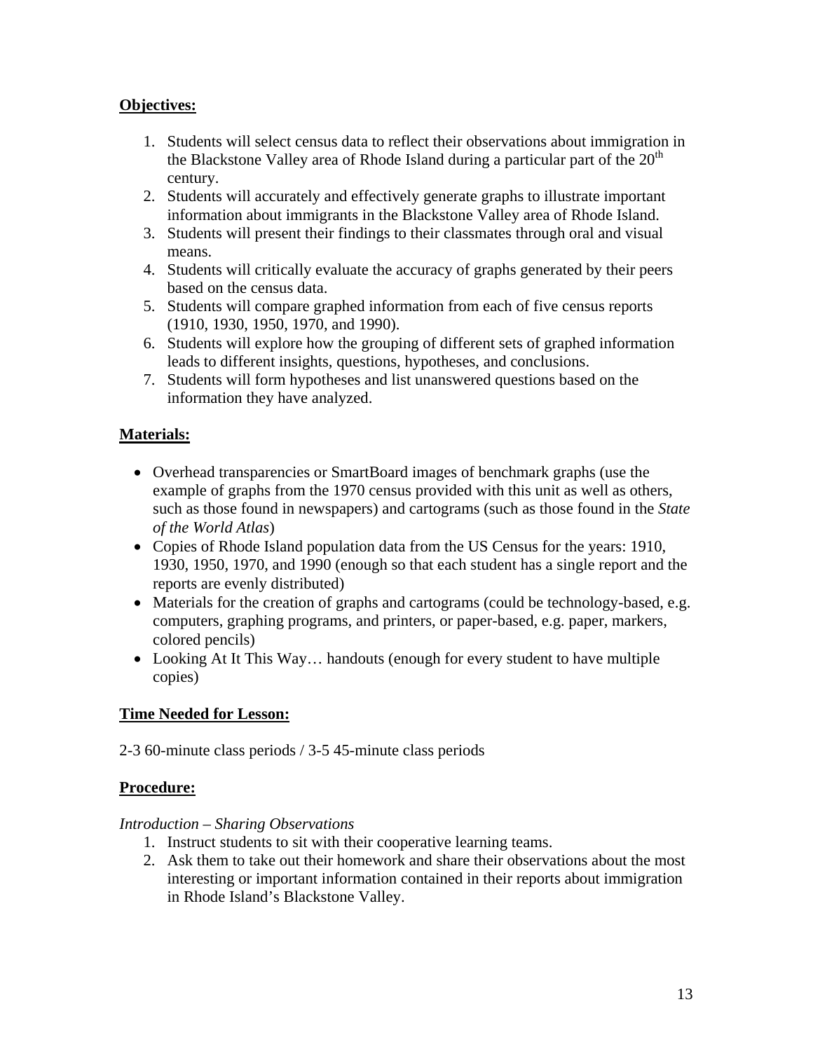### **Objectives:**

- 1. Students will select census data to reflect their observations about immigration in the Blackstone Valley area of Rhode Island during a particular part of the  $20<sup>th</sup>$ century.
- 2. Students will accurately and effectively generate graphs to illustrate important information about immigrants in the Blackstone Valley area of Rhode Island.
- 3. Students will present their findings to their classmates through oral and visual means.
- 4. Students will critically evaluate the accuracy of graphs generated by their peers based on the census data.
- 5. Students will compare graphed information from each of five census reports (1910, 1930, 1950, 1970, and 1990).
- 6. Students will explore how the grouping of different sets of graphed information leads to different insights, questions, hypotheses, and conclusions.
- 7. Students will form hypotheses and list unanswered questions based on the information they have analyzed.

### **Materials:**

- Overhead transparencies or SmartBoard images of benchmark graphs (use the example of graphs from the 1970 census provided with this unit as well as others, such as those found in newspapers) and cartograms (such as those found in the *State of the World Atlas*)
- Copies of Rhode Island population data from the US Census for the years: 1910, 1930, 1950, 1970, and 1990 (enough so that each student has a single report and the reports are evenly distributed)
- Materials for the creation of graphs and cartograms (could be technology-based, e.g. computers, graphing programs, and printers, or paper-based, e.g. paper, markers, colored pencils)
- Looking At It This Way... handouts (enough for every student to have multiple copies)

### **Time Needed for Lesson:**

2-3 60-minute class periods / 3-5 45-minute class periods

### **Procedure:**

#### *Introduction – Sharing Observations*

- 1. Instruct students to sit with their cooperative learning teams.
- 2. Ask them to take out their homework and share their observations about the most interesting or important information contained in their reports about immigration in Rhode Island's Blackstone Valley.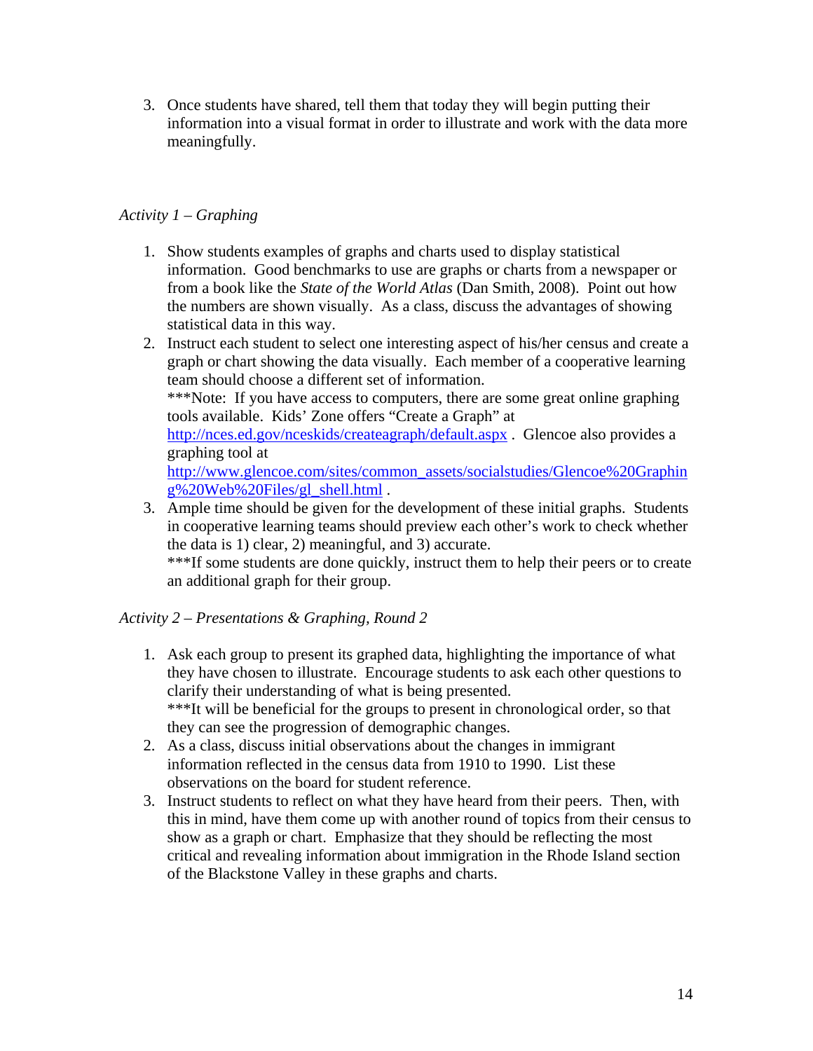3. Once students have shared, tell them that today they will begin putting their information into a visual format in order to illustrate and work with the data more meaningfully.

### *Activity 1 – Graphing*

- 1. Show students examples of graphs and charts used to display statistical information. Good benchmarks to use are graphs or charts from a newspaper or from a book like the *State of the World Atlas* (Dan Smith, 2008). Point out how the numbers are shown visually. As a class, discuss the advantages of showing statistical data in this way.
- 2. Instruct each student to select one interesting aspect of his/her census and create a graph or chart showing the data visually. Each member of a cooperative learning team should choose a different set of information. \*\*\*Note: If you have access to computers, there are some great online graphing tools available. Kids' Zone offers "Create a Graph" at http://nces.ed.gov/nceskids/createagraph/default.aspx . Glencoe also provides a graphing tool at http://www.glencoe.com/sites/common\_assets/socialstudies/Glencoe%20Graphin g%20Web%20Files/gl\_shell.html .
- 3. Ample time should be given for the development of these initial graphs. Students in cooperative learning teams should preview each other's work to check whether the data is 1) clear, 2) meaningful, and 3) accurate.

\*\*\*If some students are done quickly, instruct them to help their peers or to create an additional graph for their group.

### *Activity 2 – Presentations & Graphing, Round 2*

- 1. Ask each group to present its graphed data, highlighting the importance of what they have chosen to illustrate. Encourage students to ask each other questions to clarify their understanding of what is being presented. \*\*\*It will be beneficial for the groups to present in chronological order, so that they can see the progression of demographic changes.
- 2. As a class, discuss initial observations about the changes in immigrant information reflected in the census data from 1910 to 1990. List these observations on the board for student reference.
- 3. Instruct students to reflect on what they have heard from their peers. Then, with this in mind, have them come up with another round of topics from their census to show as a graph or chart. Emphasize that they should be reflecting the most critical and revealing information about immigration in the Rhode Island section of the Blackstone Valley in these graphs and charts.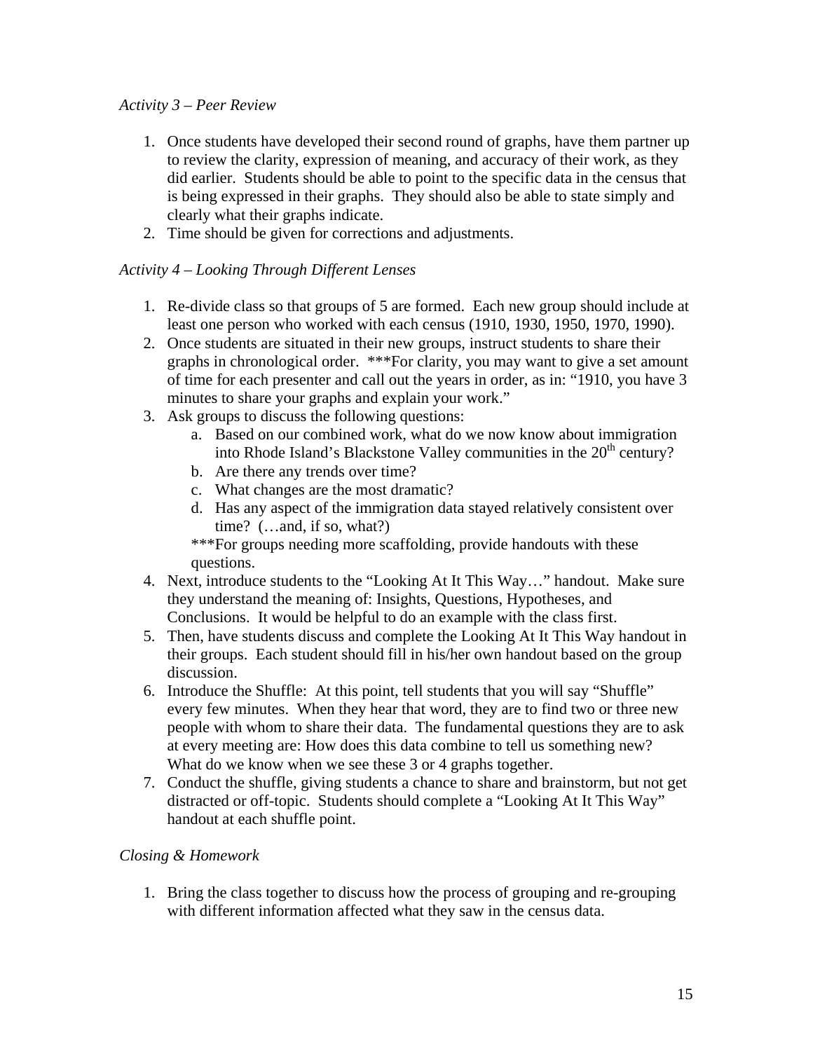### *Activity 3 – Peer Review*

- 1. Once students have developed their second round of graphs, have them partner up to review the clarity, expression of meaning, and accuracy of their work, as they did earlier. Students should be able to point to the specific data in the census that is being expressed in their graphs. They should also be able to state simply and clearly what their graphs indicate.
- 2. Time should be given for corrections and adjustments.

### *Activity 4 – Looking Through Different Lenses*

- 1. Re-divide class so that groups of 5 are formed. Each new group should include at least one person who worked with each census (1910, 1930, 1950, 1970, 1990).
- 2. Once students are situated in their new groups, instruct students to share their graphs in chronological order. \*\*\*For clarity, you may want to give a set amount of time for each presenter and call out the years in order, as in: "1910, you have 3 minutes to share your graphs and explain your work."
- 3. Ask groups to discuss the following questions:
	- a. Based on our combined work, what do we now know about immigration into Rhode Island's Blackstone Valley communities in the  $20<sup>th</sup>$  century?
	- b. Are there any trends over time?
	- c. What changes are the most dramatic?
	- d. Has any aspect of the immigration data stayed relatively consistent over time? (…and, if so, what?)

\*\*\*For groups needing more scaffolding, provide handouts with these questions.

- 4. Next, introduce students to the "Looking At It This Way…" handout. Make sure they understand the meaning of: Insights, Questions, Hypotheses, and Conclusions. It would be helpful to do an example with the class first.
- 5. Then, have students discuss and complete the Looking At It This Way handout in their groups. Each student should fill in his/her own handout based on the group discussion.
- 6. Introduce the Shuffle: At this point, tell students that you will say "Shuffle" every few minutes. When they hear that word, they are to find two or three new people with whom to share their data. The fundamental questions they are to ask at every meeting are: How does this data combine to tell us something new? What do we know when we see these 3 or 4 graphs together.
- 7. Conduct the shuffle, giving students a chance to share and brainstorm, but not get distracted or off-topic. Students should complete a "Looking At It This Way" handout at each shuffle point.

### *Closing & Homework*

1. Bring the class together to discuss how the process of grouping and re-grouping with different information affected what they saw in the census data.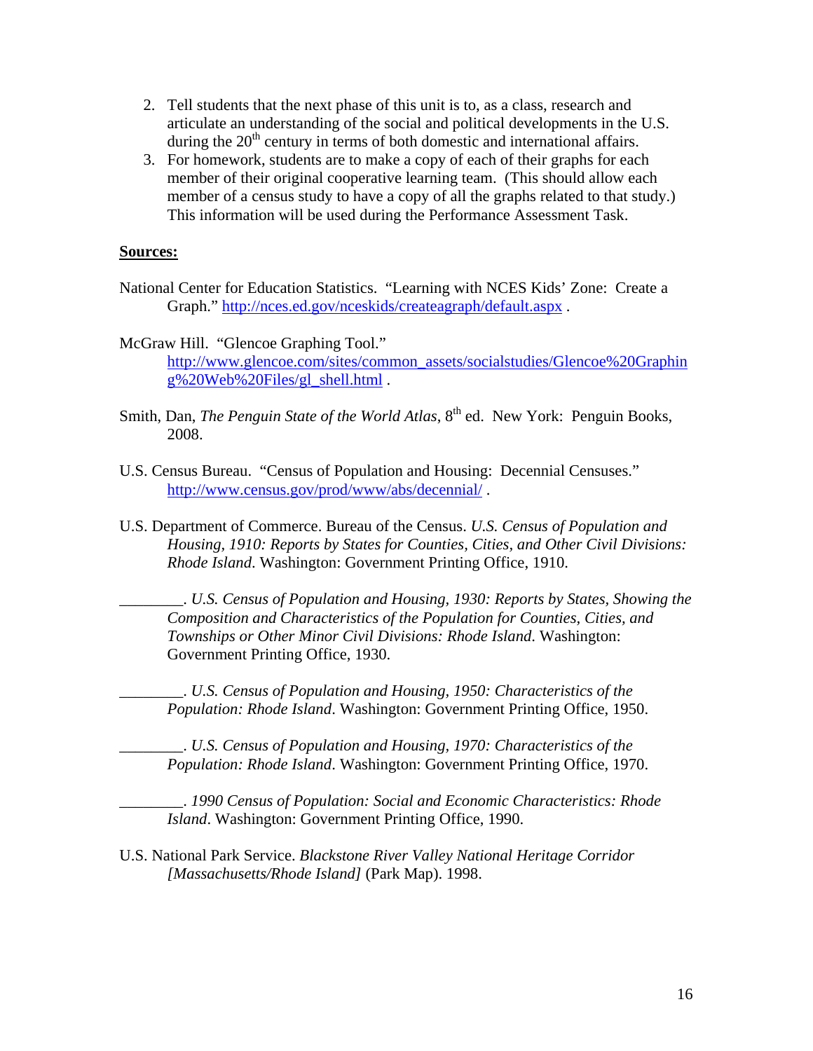- 2. Tell students that the next phase of this unit is to, as a class, research and articulate an understanding of the social and political developments in the U.S. during the  $20<sup>th</sup>$  century in terms of both domestic and international affairs.
- 3. For homework, students are to make a copy of each of their graphs for each member of their original cooperative learning team. (This should allow each member of a census study to have a copy of all the graphs related to that study.) This information will be used during the Performance Assessment Task.

#### **Sources:**

- National Center for Education Statistics. "Learning with NCES Kids' Zone: Create a Graph." http://nces.ed.gov/nceskids/createagraph/default.aspx .
- McGraw Hill. "Glencoe Graphing Tool." http://www.glencoe.com/sites/common\_assets/socialstudies/Glencoe%20Graphin g%20Web%20Files/gl\_shell.html .
- Smith, Dan, *The Penguin State of the World Atlas*, 8<sup>th</sup> ed. New York: Penguin Books, 2008.
- U.S. Census Bureau. "Census of Population and Housing: Decennial Censuses." http://www.census.gov/prod/www/abs/decennial/ .
- U.S. Department of Commerce. Bureau of the Census. *U.S. Census of Population and Housing, 1910: Reports by States for Counties, Cities, and Other Civil Divisions: Rhode Island*. Washington: Government Printing Office, 1910.

\_\_\_\_\_\_\_\_. *U.S. Census of Population and Housing, 1930: Reports by States, Showing the Composition and Characteristics of the Population for Counties, Cities, and Townships or Other Minor Civil Divisions: Rhode Island*. Washington: Government Printing Office, 1930.

\_\_\_\_\_\_\_\_. *U.S. Census of Population and Housing, 1950: Characteristics of the Population: Rhode Island*. Washington: Government Printing Office, 1950.

\_\_\_\_\_\_\_\_. *U.S. Census of Population and Housing, 1970: Characteristics of the Population: Rhode Island*. Washington: Government Printing Office, 1970.

\_\_\_\_\_\_\_\_. *1990 Census of Population: Social and Economic Characteristics: Rhode Island*. Washington: Government Printing Office, 1990.

U.S. National Park Service. *Blackstone River Valley National Heritage Corridor [Massachusetts/Rhode Island]* (Park Map). 1998.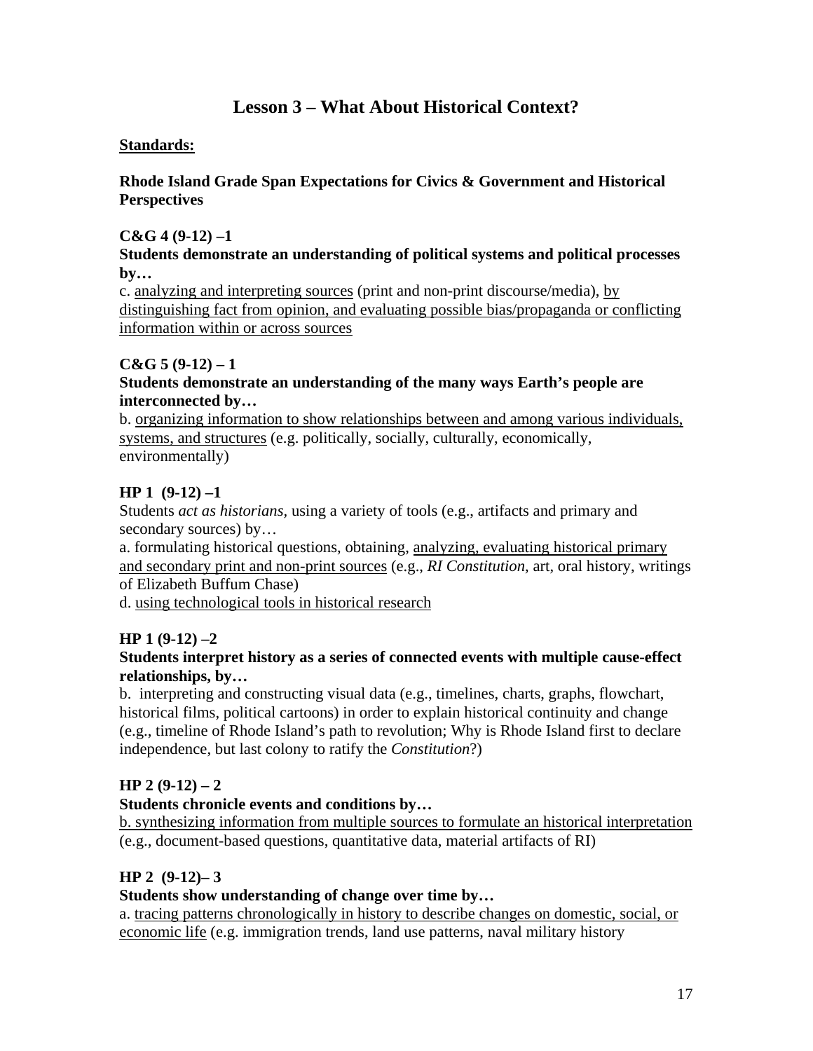## **Lesson 3 – What About Historical Context?**

### **Standards:**

### **Rhode Island Grade Span Expectations for Civics & Government and Historical Perspectives**

### **C&G 4 (9-12) –1**

#### **Students demonstrate an understanding of political systems and political processes by…**

c. analyzing and interpreting sources (print and non-print discourse/media), by distinguishing fact from opinion, and evaluating possible bias/propaganda or conflicting information within or across sources

### $C&G\;5(9-12)-1$

### **Students demonstrate an understanding of the many ways Earth's people are interconnected by…**

b. organizing information to show relationships between and among various individuals, systems, and structures (e.g. politically, socially, culturally, economically, environmentally)

### **HP 1 (9-12) –1**

Students *act as historians,* using a variety of tools (e.g., artifacts and primary and secondary sources) by...

a. formulating historical questions, obtaining, analyzing, evaluating historical primary and secondary print and non-print sources (e.g., *RI Constitution*, art, oral history, writings of Elizabeth Buffum Chase)

d. using technological tools in historical research

### **HP 1 (9-12) –2**

### **Students interpret history as a series of connected events with multiple cause-effect relationships, by…**

b. interpreting and constructing visual data (e.g., timelines, charts, graphs, flowchart, historical films, political cartoons) in order to explain historical continuity and change (e.g., timeline of Rhode Island's path to revolution; Why is Rhode Island first to declare independence, but last colony to ratify the *Constitution*?)

### **HP 2 (9-12) – 2**

### **Students chronicle events and conditions by…**

b. synthesizing information from multiple sources to formulate an historical interpretation (e.g., document-based questions, quantitative data, material artifacts of RI)

### **HP 2 (9-12)– 3**

### **Students show understanding of change over time by…**

a. tracing patterns chronologically in history to describe changes on domestic, social, or economic life (e.g. immigration trends, land use patterns, naval military history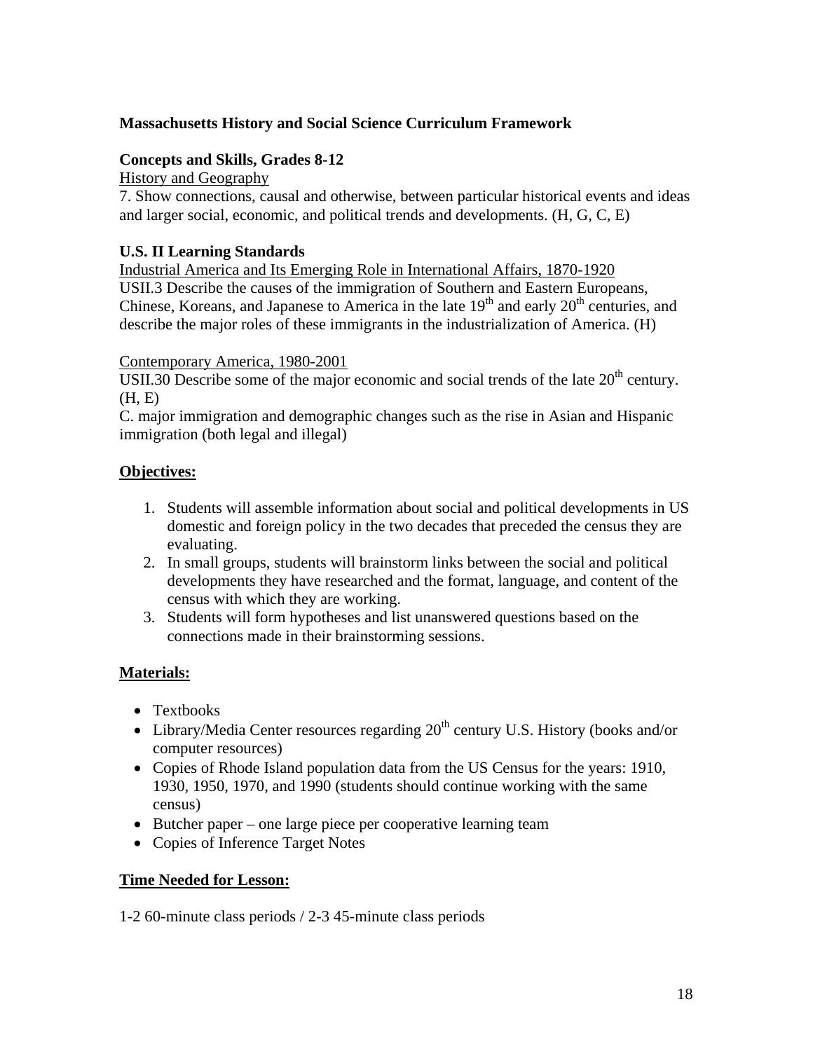### **Massachusetts History and Social Science Curriculum Framework**

### **Concepts and Skills, Grades 8-12**

History and Geography

7. Show connections, causal and otherwise, between particular historical events and ideas and larger social, economic, and political trends and developments. (H, G, C, E)

### **U.S. II Learning Standards**

Industrial America and Its Emerging Role in International Affairs, 1870-1920 USII.3 Describe the causes of the immigration of Southern and Eastern Europeans, Chinese, Koreans, and Japanese to America in the late  $19<sup>th</sup>$  and early  $20<sup>th</sup>$  centuries, and describe the major roles of these immigrants in the industrialization of America. (H)

### Contemporary America, 1980-2001

USII.30 Describe some of the major economic and social trends of the late  $20<sup>th</sup>$  century. (H, E)

C. major immigration and demographic changes such as the rise in Asian and Hispanic immigration (both legal and illegal)

### **Objectives:**

- 1. Students will assemble information about social and political developments in US domestic and foreign policy in the two decades that preceded the census they are evaluating.
- 2. In small groups, students will brainstorm links between the social and political developments they have researched and the format, language, and content of the census with which they are working.
- 3. Students will form hypotheses and list unanswered questions based on the connections made in their brainstorming sessions.

### **Materials:**

- Textbooks
- Library/Media Center resources regarding  $20<sup>th</sup>$  century U.S. History (books and/or computer resources)
- Copies of Rhode Island population data from the US Census for the years: 1910, 1930, 1950, 1970, and 1990 (students should continue working with the same census)
- Butcher paper one large piece per cooperative learning team
- Copies of Inference Target Notes

### **Time Needed for Lesson:**

1-2 60-minute class periods / 2-3 45-minute class periods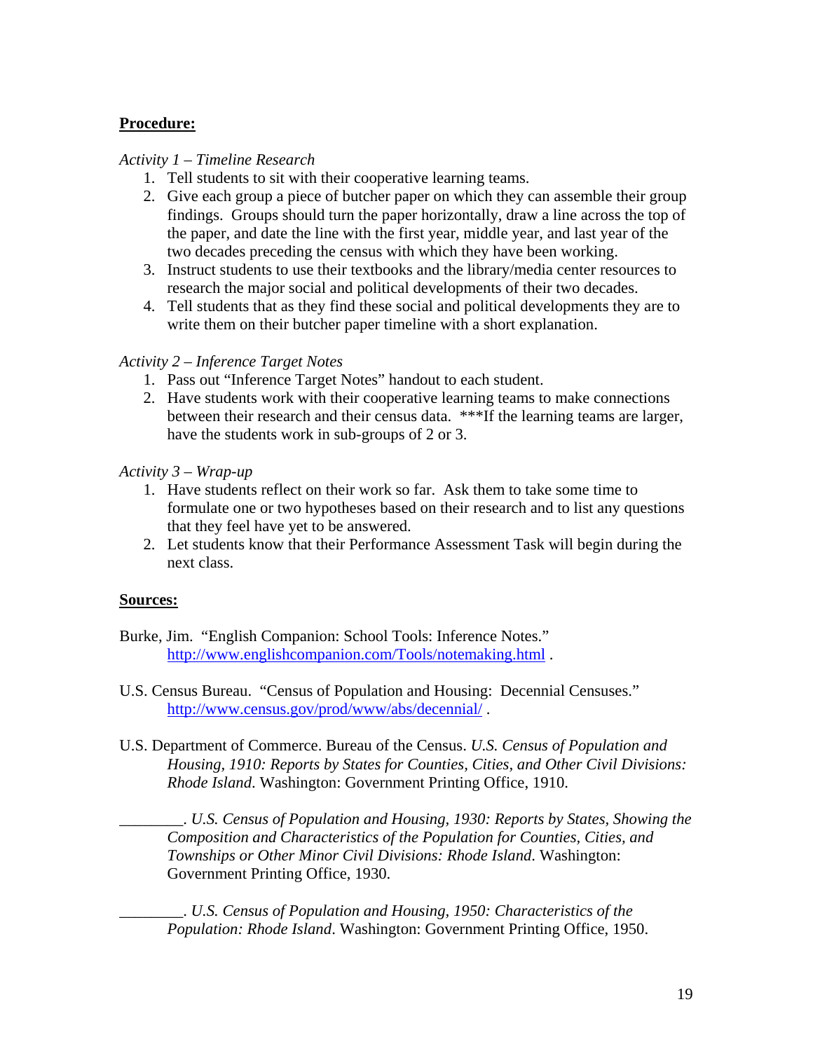### **Procedure:**

### *Activity 1 – Timeline Research*

- 1. Tell students to sit with their cooperative learning teams.
- 2. Give each group a piece of butcher paper on which they can assemble their group findings. Groups should turn the paper horizontally, draw a line across the top of the paper, and date the line with the first year, middle year, and last year of the two decades preceding the census with which they have been working.
- 3. Instruct students to use their textbooks and the library/media center resources to research the major social and political developments of their two decades.
- 4. Tell students that as they find these social and political developments they are to write them on their butcher paper timeline with a short explanation.

### *Activity 2 – Inference Target Notes*

- 1. Pass out "Inference Target Notes" handout to each student.
- 2. Have students work with their cooperative learning teams to make connections between their research and their census data. \*\*\*If the learning teams are larger, have the students work in sub-groups of 2 or 3.

### *Activity 3 – Wrap-up*

- 1. Have students reflect on their work so far. Ask them to take some time to formulate one or two hypotheses based on their research and to list any questions that they feel have yet to be answered.
- 2. Let students know that their Performance Assessment Task will begin during the next class.

### **Sources:**

- Burke, Jim. "English Companion: School Tools: Inference Notes." http://www.englishcompanion.com/Tools/notemaking.html .
- U.S. Census Bureau. "Census of Population and Housing: Decennial Censuses." http://www.census.gov/prod/www/abs/decennial/ .
- U.S. Department of Commerce. Bureau of the Census. *U.S. Census of Population and Housing, 1910: Reports by States for Counties, Cities, and Other Civil Divisions: Rhode Island*. Washington: Government Printing Office, 1910.

\_\_\_\_\_\_\_\_. *U.S. Census of Population and Housing, 1930: Reports by States, Showing the Composition and Characteristics of the Population for Counties, Cities, and Townships or Other Minor Civil Divisions: Rhode Island*. Washington: Government Printing Office, 1930.

\_\_\_\_\_\_\_\_. *U.S. Census of Population and Housing, 1950: Characteristics of the Population: Rhode Island*. Washington: Government Printing Office, 1950.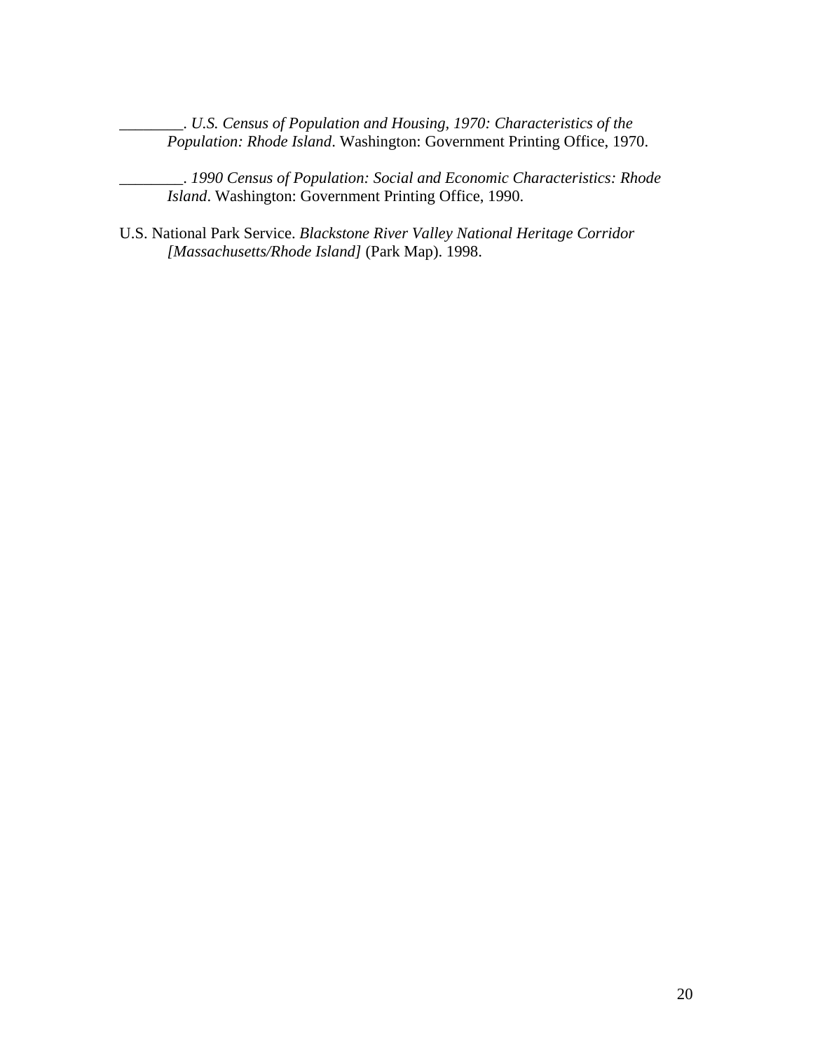\_\_\_\_\_\_\_\_. *U.S. Census of Population and Housing, 1970: Characteristics of the Population: Rhode Island*. Washington: Government Printing Office, 1970.

\_\_\_\_\_\_\_\_. *1990 Census of Population: Social and Economic Characteristics: Rhode Island*. Washington: Government Printing Office, 1990.

U.S. National Park Service. *Blackstone River Valley National Heritage Corridor [Massachusetts/Rhode Island]* (Park Map). 1998.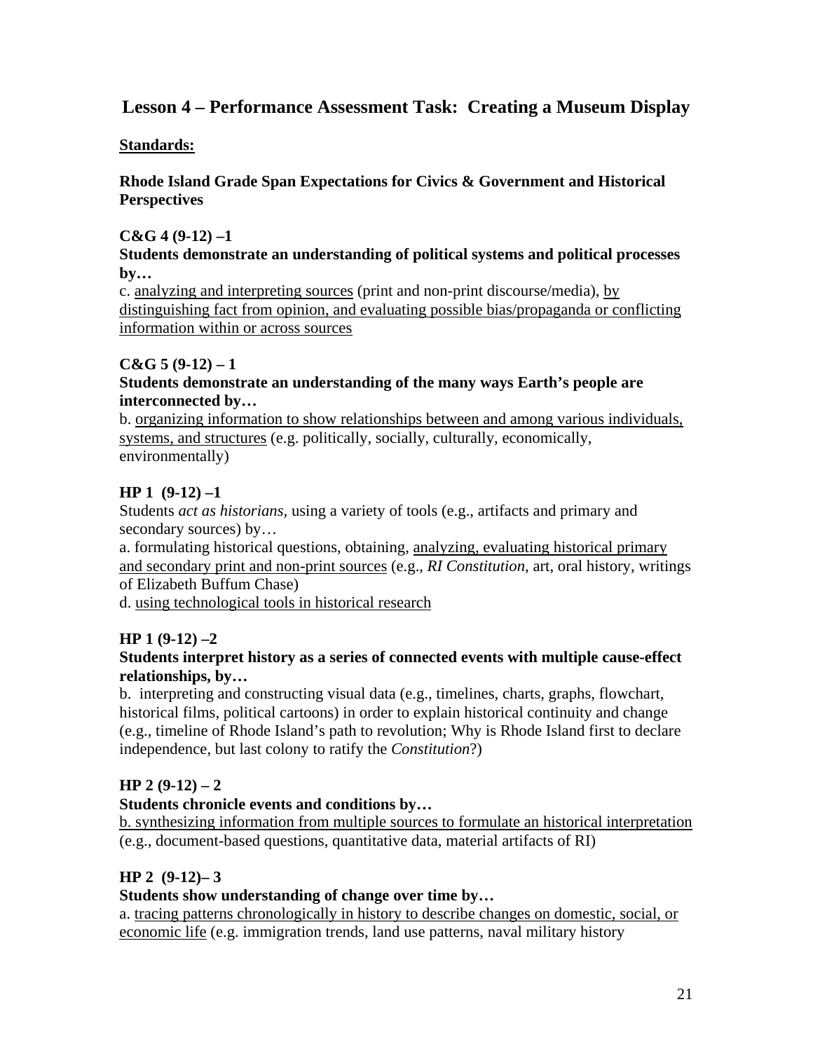## **Lesson 4 – Performance Assessment Task: Creating a Museum Display**

### **Standards:**

### **Rhode Island Grade Span Expectations for Civics & Government and Historical Perspectives**

### **C&G 4 (9-12) –1**

#### **Students demonstrate an understanding of political systems and political processes by…**

c. analyzing and interpreting sources (print and non-print discourse/media), by distinguishing fact from opinion, and evaluating possible bias/propaganda or conflicting information within or across sources

### $C&G\;5(9-12)-1$

### **Students demonstrate an understanding of the many ways Earth's people are interconnected by…**

b. organizing information to show relationships between and among various individuals, systems, and structures (e.g. politically, socially, culturally, economically, environmentally)

### **HP 1 (9-12) –1**

Students *act as historians,* using a variety of tools (e.g., artifacts and primary and secondary sources) by...

a. formulating historical questions, obtaining, analyzing, evaluating historical primary and secondary print and non-print sources (e.g., *RI Constitution*, art, oral history, writings of Elizabeth Buffum Chase)

d. using technological tools in historical research

### **HP 1 (9-12) –2**

### **Students interpret history as a series of connected events with multiple cause-effect relationships, by…**

b. interpreting and constructing visual data (e.g., timelines, charts, graphs, flowchart, historical films, political cartoons) in order to explain historical continuity and change (e.g., timeline of Rhode Island's path to revolution; Why is Rhode Island first to declare independence, but last colony to ratify the *Constitution*?)

### **HP 2 (9-12) – 2**

### **Students chronicle events and conditions by…**

b. synthesizing information from multiple sources to formulate an historical interpretation (e.g., document-based questions, quantitative data, material artifacts of RI)

### **HP 2 (9-12)– 3**

### **Students show understanding of change over time by…**

a. tracing patterns chronologically in history to describe changes on domestic, social, or economic life (e.g. immigration trends, land use patterns, naval military history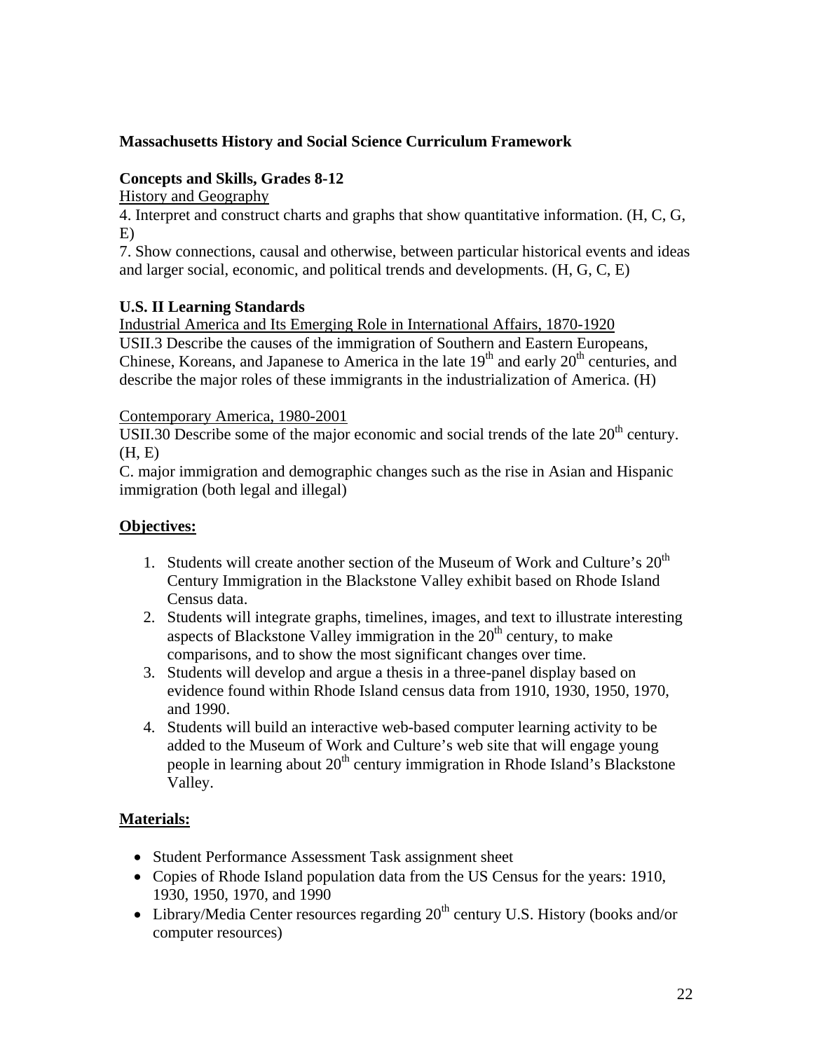### **Massachusetts History and Social Science Curriculum Framework**

### **Concepts and Skills, Grades 8-12**

History and Geography

4. Interpret and construct charts and graphs that show quantitative information. (H, C, G, E)

7. Show connections, causal and otherwise, between particular historical events and ideas and larger social, economic, and political trends and developments. (H, G, C, E)

### **U.S. II Learning Standards**

Industrial America and Its Emerging Role in International Affairs, 1870-1920

USII.3 Describe the causes of the immigration of Southern and Eastern Europeans, Chinese, Koreans, and Japanese to America in the late  $19<sup>th</sup>$  and early  $20<sup>th</sup>$  centuries, and describe the major roles of these immigrants in the industrialization of America. (H)

### Contemporary America, 1980-2001

USII.30 Describe some of the major economic and social trends of the late  $20<sup>th</sup>$  century.  $(H, E)$ 

C. major immigration and demographic changes such as the rise in Asian and Hispanic immigration (both legal and illegal)

### **Objectives:**

- 1. Students will create another section of the Museum of Work and Culture's  $20<sup>th</sup>$ Century Immigration in the Blackstone Valley exhibit based on Rhode Island Census data.
- 2. Students will integrate graphs, timelines, images, and text to illustrate interesting aspects of Blackstone Valley immigration in the  $20<sup>th</sup>$  century, to make comparisons, and to show the most significant changes over time.
- 3. Students will develop and argue a thesis in a three-panel display based on evidence found within Rhode Island census data from 1910, 1930, 1950, 1970, and 1990.
- 4. Students will build an interactive web-based computer learning activity to be added to the Museum of Work and Culture's web site that will engage young people in learning about  $20<sup>th</sup>$  century immigration in Rhode Island's Blackstone Valley.

### **Materials:**

- Student Performance Assessment Task assignment sheet
- Copies of Rhode Island population data from the US Census for the years: 1910, 1930, 1950, 1970, and 1990
- Library/Media Center resources regarding  $20<sup>th</sup>$  century U.S. History (books and/or computer resources)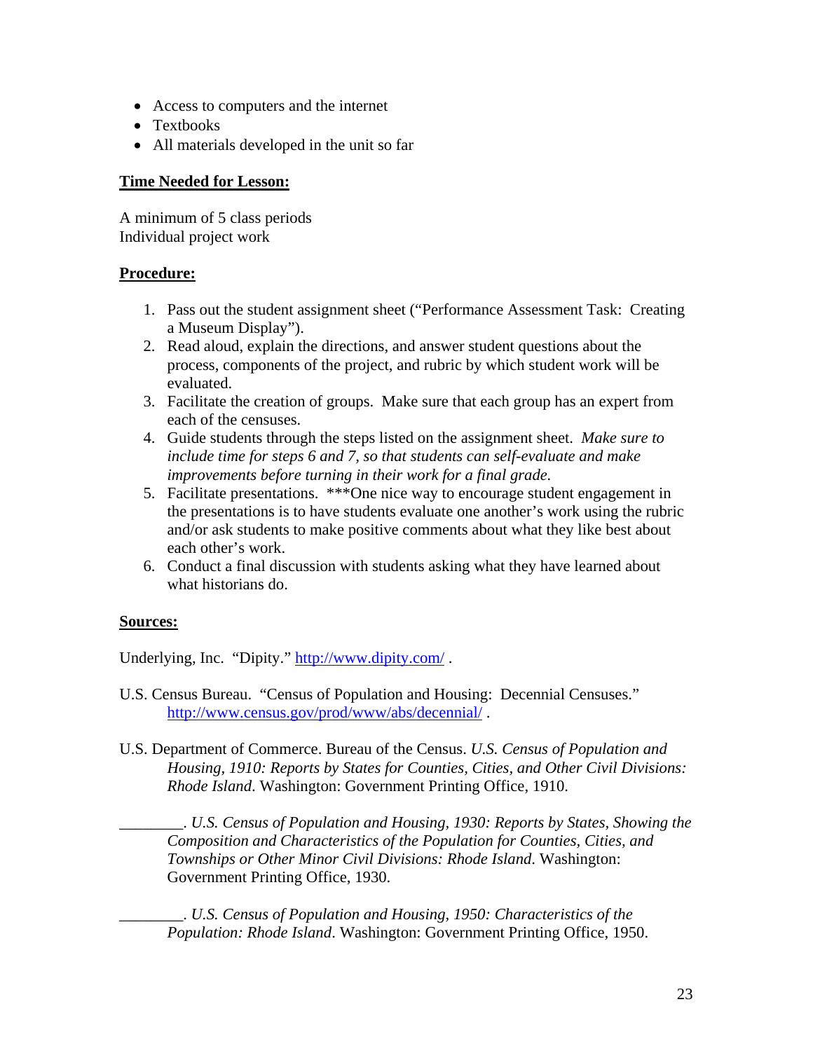- Access to computers and the internet
- Textbooks
- All materials developed in the unit so far

### **Time Needed for Lesson:**

A minimum of 5 class periods Individual project work

### **Procedure:**

- 1. Pass out the student assignment sheet ("Performance Assessment Task: Creating a Museum Display").
- 2. Read aloud, explain the directions, and answer student questions about the process, components of the project, and rubric by which student work will be evaluated.
- 3. Facilitate the creation of groups. Make sure that each group has an expert from each of the censuses.
- 4. Guide students through the steps listed on the assignment sheet. *Make sure to include time for steps 6 and 7, so that students can self-evaluate and make improvements before turning in their work for a final grade.*
- 5. Facilitate presentations. \*\*\*One nice way to encourage student engagement in the presentations is to have students evaluate one another's work using the rubric and/or ask students to make positive comments about what they like best about each other's work.
- 6. Conduct a final discussion with students asking what they have learned about what historians do.

### **Sources:**

Underlying, Inc. "Dipity." http://www.dipity.com/.

- U.S. Census Bureau. "Census of Population and Housing: Decennial Censuses." http://www.census.gov/prod/www/abs/decennial/ .
- U.S. Department of Commerce. Bureau of the Census. *U.S. Census of Population and Housing, 1910: Reports by States for Counties, Cities, and Other Civil Divisions: Rhode Island*. Washington: Government Printing Office, 1910.

\_\_\_\_\_\_\_\_. *U.S. Census of Population and Housing, 1930: Reports by States, Showing the Composition and Characteristics of the Population for Counties, Cities, and Townships or Other Minor Civil Divisions: Rhode Island*. Washington: Government Printing Office, 1930.

\_\_\_\_\_\_\_\_. *U.S. Census of Population and Housing, 1950: Characteristics of the Population: Rhode Island*. Washington: Government Printing Office, 1950.